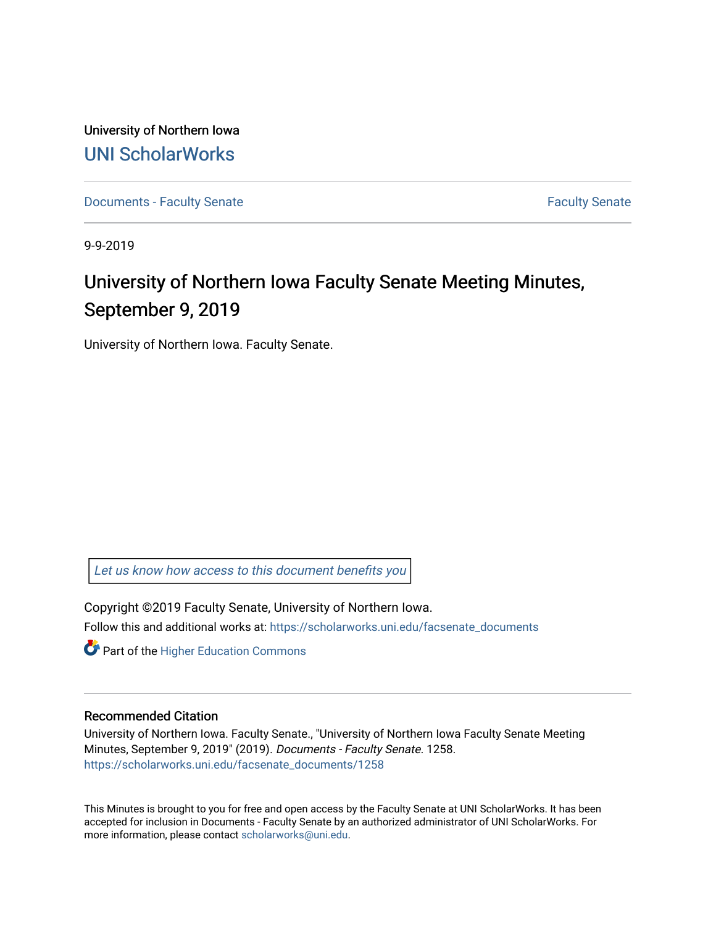University of Northern Iowa [UNI ScholarWorks](https://scholarworks.uni.edu/) 

[Documents - Faculty Senate](https://scholarworks.uni.edu/facsenate_documents) [Faculty Senate](https://scholarworks.uni.edu/facsenate) Faculty Senate

9-9-2019

## University of Northern Iowa Faculty Senate Meeting Minutes, September 9, 2019

University of Northern Iowa. Faculty Senate.

[Let us know how access to this document benefits you](https://scholarworks.uni.edu/feedback_form.html) 

Copyright ©2019 Faculty Senate, University of Northern Iowa. Follow this and additional works at: [https://scholarworks.uni.edu/facsenate\\_documents](https://scholarworks.uni.edu/facsenate_documents?utm_source=scholarworks.uni.edu%2Ffacsenate_documents%2F1258&utm_medium=PDF&utm_campaign=PDFCoverPages) 

**Part of the Higher Education Commons** 

## Recommended Citation

University of Northern Iowa. Faculty Senate., "University of Northern Iowa Faculty Senate Meeting Minutes, September 9, 2019" (2019). Documents - Faculty Senate. 1258. [https://scholarworks.uni.edu/facsenate\\_documents/1258](https://scholarworks.uni.edu/facsenate_documents/1258?utm_source=scholarworks.uni.edu%2Ffacsenate_documents%2F1258&utm_medium=PDF&utm_campaign=PDFCoverPages) 

This Minutes is brought to you for free and open access by the Faculty Senate at UNI ScholarWorks. It has been accepted for inclusion in Documents - Faculty Senate by an authorized administrator of UNI ScholarWorks. For more information, please contact [scholarworks@uni.edu.](mailto:scholarworks@uni.edu)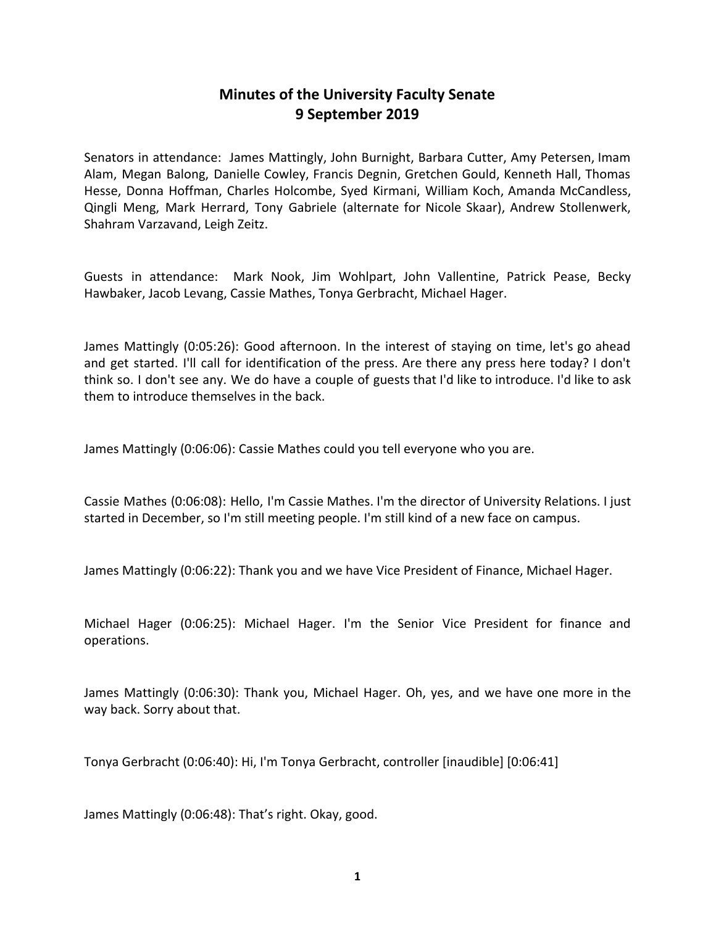## **Minutes of the University Faculty Senate 9 September 2019**

Senators in attendance: James Mattingly, John Burnight, Barbara Cutter, Amy Petersen, Imam Alam, Megan Balong, Danielle Cowley, Francis Degnin, Gretchen Gould, Kenneth Hall, Thomas Hesse, Donna Hoffman, Charles Holcombe, Syed Kirmani, William Koch, Amanda McCandless, Qingli Meng, Mark Herrard, Tony Gabriele (alternate for Nicole Skaar), Andrew Stollenwerk, Shahram Varzavand, Leigh Zeitz.

Guests in attendance: Mark Nook, Jim Wohlpart, John Vallentine, Patrick Pease, Becky Hawbaker, Jacob Levang, Cassie Mathes, Tonya Gerbracht, Michael Hager.

James Mattingly (0:05:26): Good afternoon. In the interest of staying on time, let's go ahead and get started. I'll call for identification of the press. Are there any press here today? I don't think so. I don't see any. We do have a couple of guests that I'd like to introduce. I'd like to ask them to introduce themselves in the back.

James Mattingly (0:06:06): Cassie Mathes could you tell everyone who you are.

Cassie Mathes (0:06:08): Hello, I'm Cassie Mathes. I'm the director of University Relations. I just started in December, so I'm still meeting people. I'm still kind of a new face on campus.

James Mattingly (0:06:22): Thank you and we have Vice President of Finance, Michael Hager.

Michael Hager (0:06:25): Michael Hager. I'm the Senior Vice President for finance and operations.

James Mattingly (0:06:30): Thank you, Michael Hager. Oh, yes, and we have one more in the way back. Sorry about that.

Tonya Gerbracht (0:06:40): Hi, I'm Tonya Gerbracht, controller [inaudible] [0:06:41]

James Mattingly (0:06:48): That's right. Okay, good.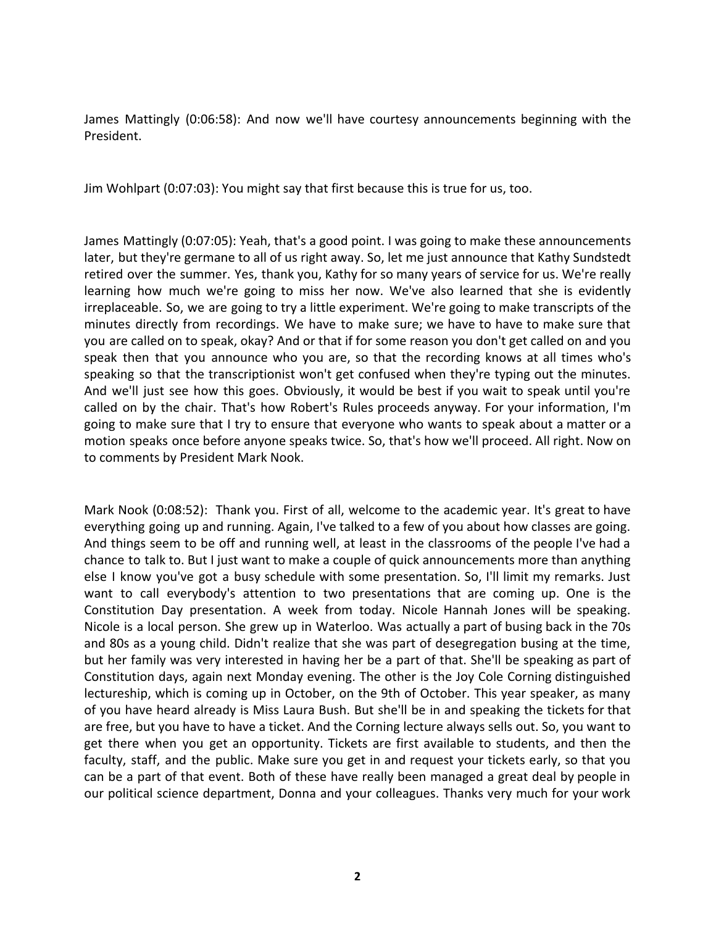James Mattingly (0:06:58): And now we'll have courtesy announcements beginning with the President.

Jim Wohlpart (0:07:03): You might say that first because this is true for us, too.

James Mattingly (0:07:05): Yeah, that's a good point. I was going to make these announcements later, but they're germane to all of us right away. So, let me just announce that Kathy Sundstedt retired over the summer. Yes, thank you, Kathy for so many years of service for us. We're really learning how much we're going to miss her now. We've also learned that she is evidently irreplaceable. So, we are going to try a little experiment. We're going to make transcripts of the minutes directly from recordings. We have to make sure; we have to have to make sure that you are called on to speak, okay? And or that if for some reason you don't get called on and you speak then that you announce who you are, so that the recording knows at all times who's speaking so that the transcriptionist won't get confused when they're typing out the minutes. And we'll just see how this goes. Obviously, it would be best if you wait to speak until you're called on by the chair. That's how Robert's Rules proceeds anyway. For your information, I'm going to make sure that I try to ensure that everyone who wants to speak about a matter or a motion speaks once before anyone speaks twice. So, that's how we'll proceed. All right. Now on to comments by President Mark Nook.

Mark Nook (0:08:52): Thank you. First of all, welcome to the academic year. It's great to have everything going up and running. Again, I've talked to a few of you about how classes are going. And things seem to be off and running well, at least in the classrooms of the people I've had a chance to talk to. But I just want to make a couple of quick announcements more than anything else I know you've got a busy schedule with some presentation. So, I'll limit my remarks. Just want to call everybody's attention to two presentations that are coming up. One is the Constitution Day presentation. A week from today. Nicole Hannah Jones will be speaking. Nicole is a local person. She grew up in Waterloo. Was actually a part of busing back in the 70s and 80s as a young child. Didn't realize that she was part of desegregation busing at the time, but her family was very interested in having her be a part of that. She'll be speaking as part of Constitution days, again next Monday evening. The other is the Joy Cole Corning distinguished lectureship, which is coming up in October, on the 9th of October. This year speaker, as many of you have heard already is Miss Laura Bush. But she'll be in and speaking the tickets for that are free, but you have to have a ticket. And the Corning lecture always sells out. So, you want to get there when you get an opportunity. Tickets are first available to students, and then the faculty, staff, and the public. Make sure you get in and request your tickets early, so that you can be a part of that event. Both of these have really been managed a great deal by people in our political science department, Donna and your colleagues. Thanks very much for your work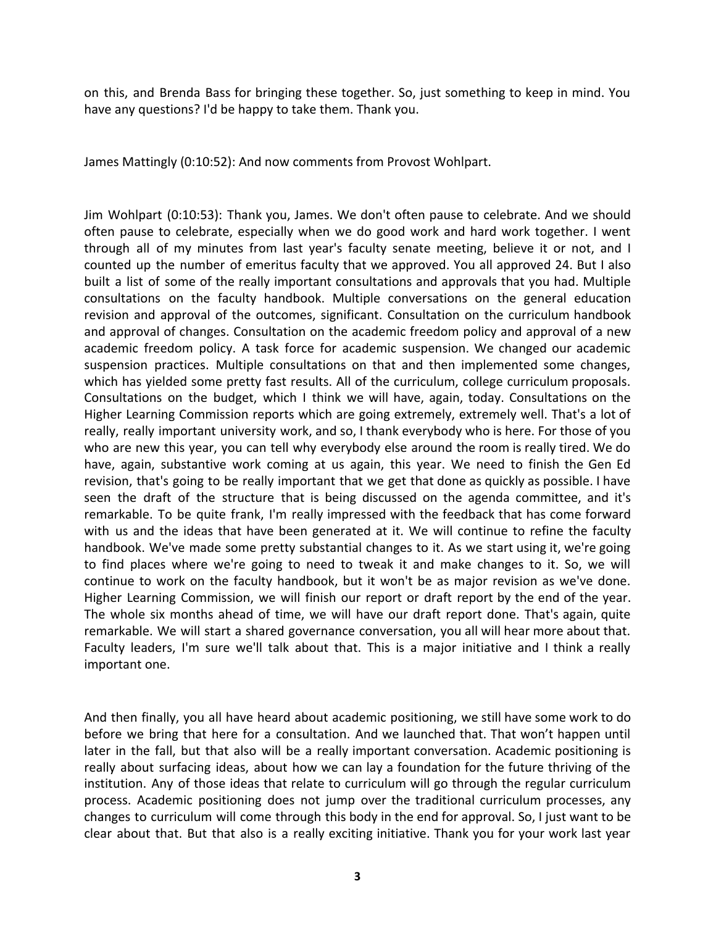on this, and Brenda Bass for bringing these together. So, just something to keep in mind. You have any questions? I'd be happy to take them. Thank you.

James Mattingly (0:10:52): And now comments from Provost Wohlpart.

Jim Wohlpart (0:10:53): Thank you, James. We don't often pause to celebrate. And we should often pause to celebrate, especially when we do good work and hard work together. I went through all of my minutes from last year's faculty senate meeting, believe it or not, and I counted up the number of emeritus faculty that we approved. You all approved 24. But I also built a list of some of the really important consultations and approvals that you had. Multiple consultations on the faculty handbook. Multiple conversations on the general education revision and approval of the outcomes, significant. Consultation on the curriculum handbook and approval of changes. Consultation on the academic freedom policy and approval of a new academic freedom policy. A task force for academic suspension. We changed our academic suspension practices. Multiple consultations on that and then implemented some changes, which has yielded some pretty fast results. All of the curriculum, college curriculum proposals. Consultations on the budget, which I think we will have, again, today. Consultations on the Higher Learning Commission reports which are going extremely, extremely well. That's a lot of really, really important university work, and so, I thank everybody who is here. For those of you who are new this year, you can tell why everybody else around the room is really tired. We do have, again, substantive work coming at us again, this year. We need to finish the Gen Ed revision, that's going to be really important that we get that done as quickly as possible. I have seen the draft of the structure that is being discussed on the agenda committee, and it's remarkable. To be quite frank, I'm really impressed with the feedback that has come forward with us and the ideas that have been generated at it. We will continue to refine the faculty handbook. We've made some pretty substantial changes to it. As we start using it, we're going to find places where we're going to need to tweak it and make changes to it. So, we will continue to work on the faculty handbook, but it won't be as major revision as we've done. Higher Learning Commission, we will finish our report or draft report by the end of the year. The whole six months ahead of time, we will have our draft report done. That's again, quite remarkable. We will start a shared governance conversation, you all will hear more about that. Faculty leaders, I'm sure we'll talk about that. This is a major initiative and I think a really important one.

And then finally, you all have heard about academic positioning, we still have some work to do before we bring that here for a consultation. And we launched that. That won't happen until later in the fall, but that also will be a really important conversation. Academic positioning is really about surfacing ideas, about how we can lay a foundation for the future thriving of the institution. Any of those ideas that relate to curriculum will go through the regular curriculum process. Academic positioning does not jump over the traditional curriculum processes, any changes to curriculum will come through this body in the end for approval. So, I just want to be clear about that. But that also is a really exciting initiative. Thank you for your work last year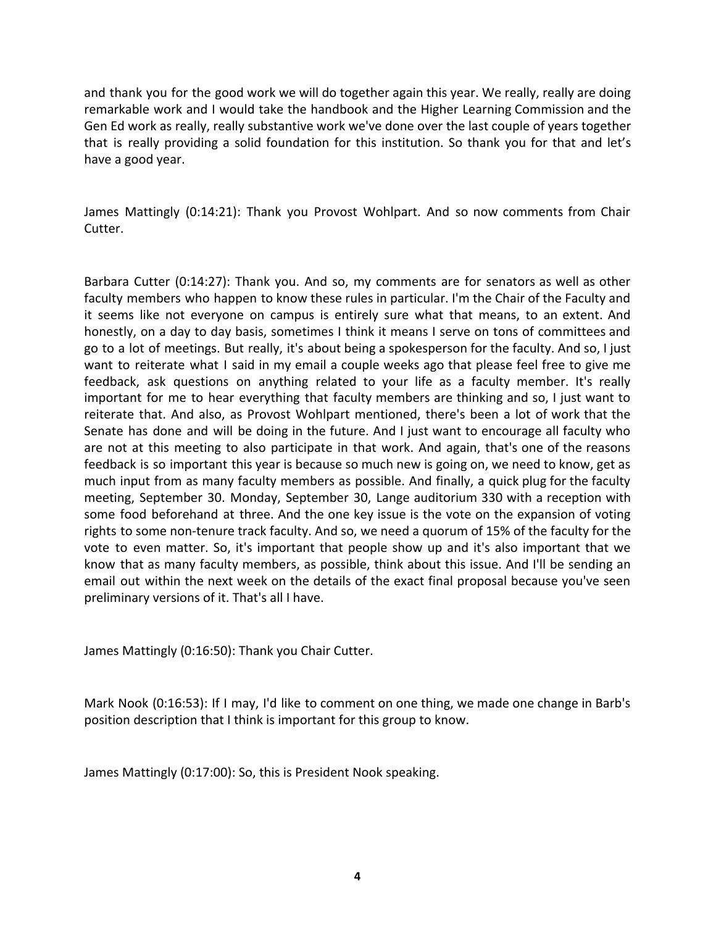and thank you for the good work we will do together again this year. We really, really are doing remarkable work and I would take the handbook and the Higher Learning Commission and the Gen Ed work as really, really substantive work we've done over the last couple of years together that is really providing a solid foundation for this institution. So thank you for that and let's have a good year.

James Mattingly (0:14:21): Thank you Provost Wohlpart. And so now comments from Chair Cutter.

Barbara Cutter (0:14:27): Thank you. And so, my comments are for senators as well as other faculty members who happen to know these rules in particular. I'm the Chair of the Faculty and it seems like not everyone on campus is entirely sure what that means, to an extent. And honestly, on a day to day basis, sometimes I think it means I serve on tons of committees and go to a lot of meetings. But really, it's about being a spokesperson for the faculty. And so, I just want to reiterate what I said in my email a couple weeks ago that please feel free to give me feedback, ask questions on anything related to your life as a faculty member. It's really important for me to hear everything that faculty members are thinking and so, I just want to reiterate that. And also, as Provost Wohlpart mentioned, there's been a lot of work that the Senate has done and will be doing in the future. And I just want to encourage all faculty who are not at this meeting to also participate in that work. And again, that's one of the reasons feedback is so important this year is because so much new is going on, we need to know, get as much input from as many faculty members as possible. And finally, a quick plug for the faculty meeting, September 30. Monday, September 30, Lange auditorium 330 with a reception with some food beforehand at three. And the one key issue is the vote on the expansion of voting rights to some non-tenure track faculty. And so, we need a quorum of 15% of the faculty for the vote to even matter. So, it's important that people show up and it's also important that we know that as many faculty members, as possible, think about this issue. And I'll be sending an email out within the next week on the details of the exact final proposal because you've seen preliminary versions of it. That's all I have.

James Mattingly (0:16:50): Thank you Chair Cutter.

Mark Nook (0:16:53): If I may, I'd like to comment on one thing, we made one change in Barb's position description that I think is important for this group to know.

James Mattingly (0:17:00): So, this is President Nook speaking.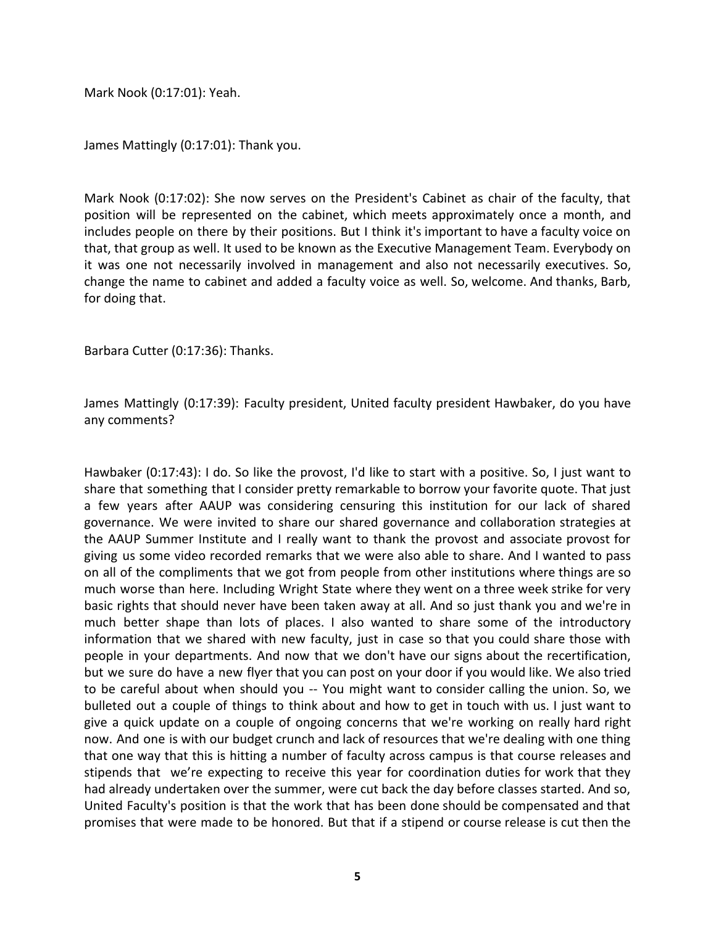Mark Nook (0:17:01): Yeah.

James Mattingly (0:17:01): Thank you.

Mark Nook (0:17:02): She now serves on the President's Cabinet as chair of the faculty, that position will be represented on the cabinet, which meets approximately once a month, and includes people on there by their positions. But I think it's important to have a faculty voice on that, that group as well. It used to be known as the Executive Management Team. Everybody on it was one not necessarily involved in management and also not necessarily executives. So, change the name to cabinet and added a faculty voice as well. So, welcome. And thanks, Barb, for doing that.

Barbara Cutter (0:17:36): Thanks.

James Mattingly (0:17:39): Faculty president, United faculty president Hawbaker, do you have any comments?

Hawbaker (0:17:43): I do. So like the provost, I'd like to start with a positive. So, I just want to share that something that I consider pretty remarkable to borrow your favorite quote. That just a few years after AAUP was considering censuring this institution for our lack of shared governance. We were invited to share our shared governance and collaboration strategies at the AAUP Summer Institute and I really want to thank the provost and associate provost for giving us some video recorded remarks that we were also able to share. And I wanted to pass on all of the compliments that we got from people from other institutions where things are so much worse than here. Including Wright State where they went on a three week strike for very basic rights that should never have been taken away at all. And so just thank you and we're in much better shape than lots of places. I also wanted to share some of the introductory information that we shared with new faculty, just in case so that you could share those with people in your departments. And now that we don't have our signs about the recertification, but we sure do have a new flyer that you can post on your door if you would like. We also tried to be careful about when should you -- You might want to consider calling the union. So, we bulleted out a couple of things to think about and how to get in touch with us. I just want to give a quick update on a couple of ongoing concerns that we're working on really hard right now. And one is with our budget crunch and lack of resources that we're dealing with one thing that one way that this is hitting a number of faculty across campus is that course releases and stipends that we're expecting to receive this year for coordination duties for work that they had already undertaken over the summer, were cut back the day before classes started. And so, United Faculty's position is that the work that has been done should be compensated and that promises that were made to be honored. But that if a stipend or course release is cut then the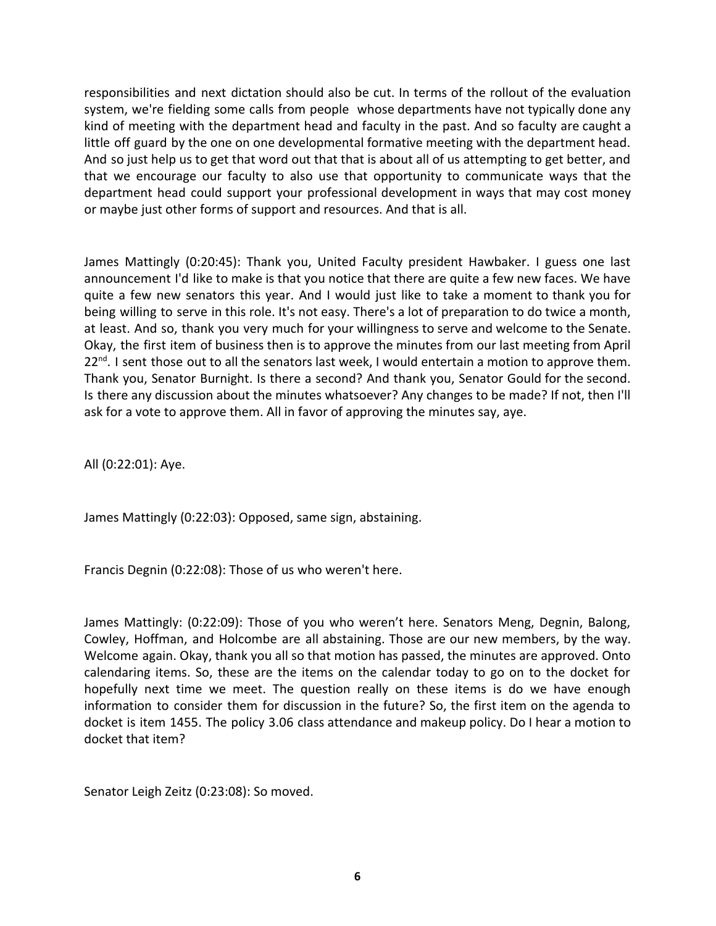responsibilities and next dictation should also be cut. In terms of the rollout of the evaluation system, we're fielding some calls from people whose departments have not typically done any kind of meeting with the department head and faculty in the past. And so faculty are caught a little off guard by the one on one developmental formative meeting with the department head. And so just help us to get that word out that that is about all of us attempting to get better, and that we encourage our faculty to also use that opportunity to communicate ways that the department head could support your professional development in ways that may cost money or maybe just other forms of support and resources. And that is all.

James Mattingly (0:20:45): Thank you, United Faculty president Hawbaker. I guess one last announcement I'd like to make is that you notice that there are quite a few new faces. We have quite a few new senators this year. And I would just like to take a moment to thank you for being willing to serve in this role. It's not easy. There's a lot of preparation to do twice a month, at least. And so, thank you very much for your willingness to serve and welcome to the Senate. Okay, the first item of business then is to approve the minutes from our last meeting from April 22<sup>nd</sup>. I sent those out to all the senators last week, I would entertain a motion to approve them. Thank you, Senator Burnight. Is there a second? And thank you, Senator Gould for the second. Is there any discussion about the minutes whatsoever? Any changes to be made? If not, then I'll ask for a vote to approve them. All in favor of approving the minutes say, aye.

All (0:22:01): Aye.

James Mattingly (0:22:03): Opposed, same sign, abstaining.

Francis Degnin (0:22:08): Those of us who weren't here.

James Mattingly: (0:22:09): Those of you who weren't here. Senators Meng, Degnin, Balong, Cowley, Hoffman, and Holcombe are all abstaining. Those are our new members, by the way. Welcome again. Okay, thank you all so that motion has passed, the minutes are approved. Onto calendaring items. So, these are the items on the calendar today to go on to the docket for hopefully next time we meet. The question really on these items is do we have enough information to consider them for discussion in the future? So, the first item on the agenda to docket is item 1455. The policy 3.06 class attendance and makeup policy. Do I hear a motion to docket that item?

Senator Leigh Zeitz (0:23:08): So moved.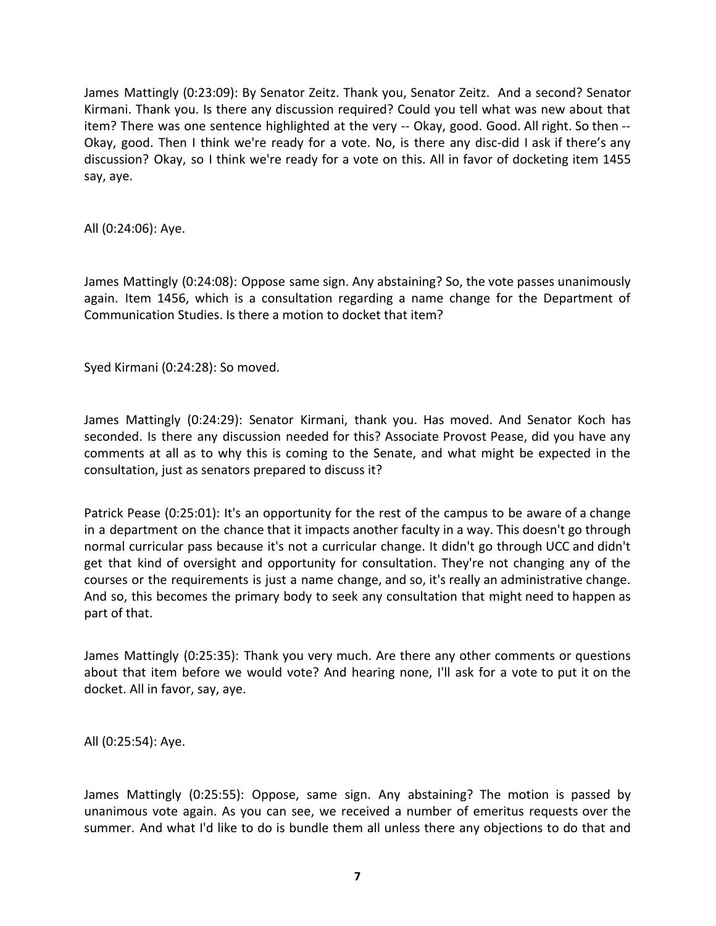James Mattingly (0:23:09): By Senator Zeitz. Thank you, Senator Zeitz. And a second? Senator Kirmani. Thank you. Is there any discussion required? Could you tell what was new about that item? There was one sentence highlighted at the very -- Okay, good. Good. All right. So then --Okay, good. Then I think we're ready for a vote. No, is there any disc-did I ask if there's any discussion? Okay, so I think we're ready for a vote on this. All in favor of docketing item 1455 say, aye.

All (0:24:06): Aye.

James Mattingly (0:24:08): Oppose same sign. Any abstaining? So, the vote passes unanimously again. Item 1456, which is a consultation regarding a name change for the Department of Communication Studies. Is there a motion to docket that item?

Syed Kirmani (0:24:28): So moved.

James Mattingly (0:24:29): Senator Kirmani, thank you. Has moved. And Senator Koch has seconded. Is there any discussion needed for this? Associate Provost Pease, did you have any comments at all as to why this is coming to the Senate, and what might be expected in the consultation, just as senators prepared to discuss it?

Patrick Pease (0:25:01): It's an opportunity for the rest of the campus to be aware of a change in a department on the chance that it impacts another faculty in a way. This doesn't go through normal curricular pass because it's not a curricular change. It didn't go through UCC and didn't get that kind of oversight and opportunity for consultation. They're not changing any of the courses or the requirements is just a name change, and so, it's really an administrative change. And so, this becomes the primary body to seek any consultation that might need to happen as part of that.

James Mattingly (0:25:35): Thank you very much. Are there any other comments or questions about that item before we would vote? And hearing none, I'll ask for a vote to put it on the docket. All in favor, say, aye.

All (0:25:54): Aye.

James Mattingly (0:25:55): Oppose, same sign. Any abstaining? The motion is passed by unanimous vote again. As you can see, we received a number of emeritus requests over the summer. And what I'd like to do is bundle them all unless there any objections to do that and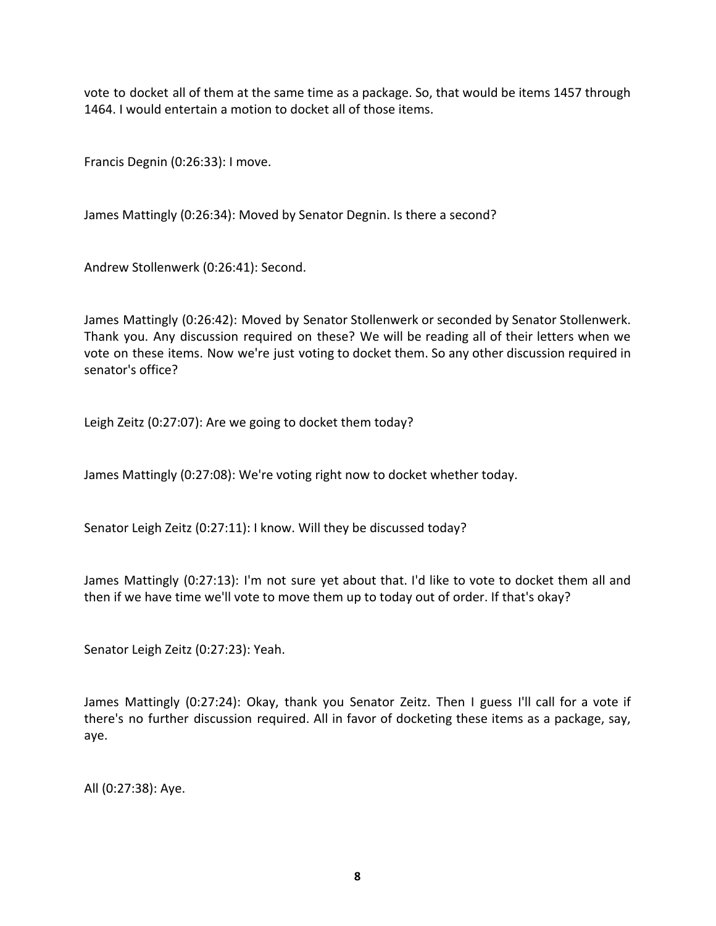vote to docket all of them at the same time as a package. So, that would be items 1457 through 1464. I would entertain a motion to docket all of those items.

Francis Degnin (0:26:33): I move.

James Mattingly (0:26:34): Moved by Senator Degnin. Is there a second?

Andrew Stollenwerk (0:26:41): Second.

James Mattingly (0:26:42): Moved by Senator Stollenwerk or seconded by Senator Stollenwerk. Thank you. Any discussion required on these? We will be reading all of their letters when we vote on these items. Now we're just voting to docket them. So any other discussion required in senator's office?

Leigh Zeitz (0:27:07): Are we going to docket them today?

James Mattingly (0:27:08): We're voting right now to docket whether today.

Senator Leigh Zeitz (0:27:11): I know. Will they be discussed today?

James Mattingly (0:27:13): I'm not sure yet about that. I'd like to vote to docket them all and then if we have time we'll vote to move them up to today out of order. If that's okay?

Senator Leigh Zeitz (0:27:23): Yeah.

James Mattingly (0:27:24): Okay, thank you Senator Zeitz. Then I guess I'll call for a vote if there's no further discussion required. All in favor of docketing these items as a package, say, aye.

All (0:27:38): Aye.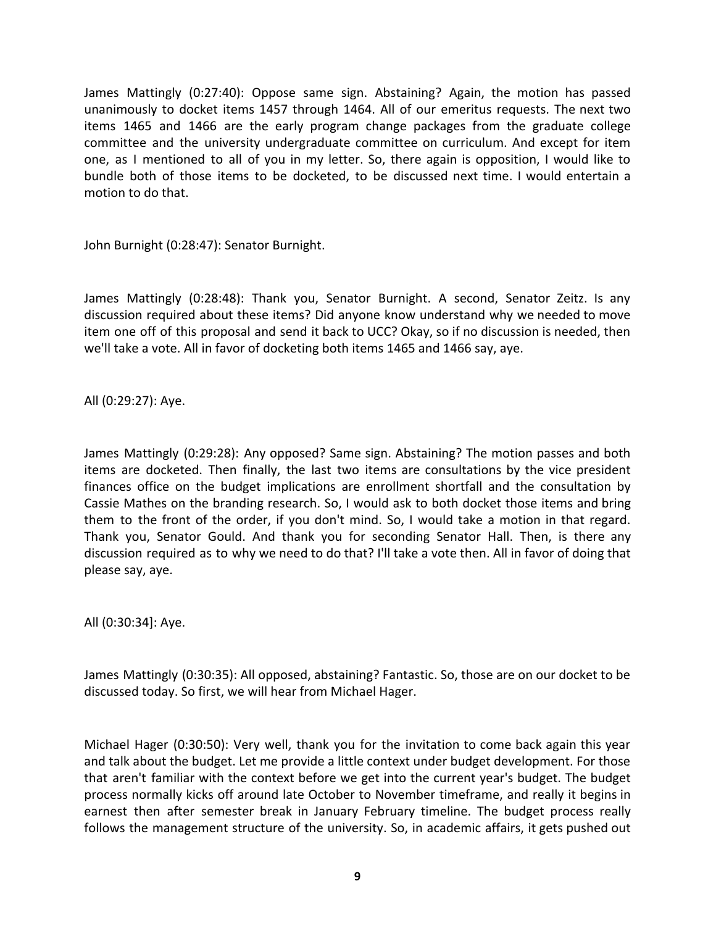James Mattingly (0:27:40): Oppose same sign. Abstaining? Again, the motion has passed unanimously to docket items 1457 through 1464. All of our emeritus requests. The next two items 1465 and 1466 are the early program change packages from the graduate college committee and the university undergraduate committee on curriculum. And except for item one, as I mentioned to all of you in my letter. So, there again is opposition, I would like to bundle both of those items to be docketed, to be discussed next time. I would entertain a motion to do that.

John Burnight (0:28:47): Senator Burnight.

James Mattingly (0:28:48): Thank you, Senator Burnight. A second, Senator Zeitz. Is any discussion required about these items? Did anyone know understand why we needed to move item one off of this proposal and send it back to UCC? Okay, so if no discussion is needed, then we'll take a vote. All in favor of docketing both items 1465 and 1466 say, aye.

All (0:29:27): Aye.

James Mattingly (0:29:28): Any opposed? Same sign. Abstaining? The motion passes and both items are docketed. Then finally, the last two items are consultations by the vice president finances office on the budget implications are enrollment shortfall and the consultation by Cassie Mathes on the branding research. So, I would ask to both docket those items and bring them to the front of the order, if you don't mind. So, I would take a motion in that regard. Thank you, Senator Gould. And thank you for seconding Senator Hall. Then, is there any discussion required as to why we need to do that? I'll take a vote then. All in favor of doing that please say, aye.

All (0:30:34]: Aye.

James Mattingly (0:30:35): All opposed, abstaining? Fantastic. So, those are on our docket to be discussed today. So first, we will hear from Michael Hager.

Michael Hager (0:30:50): Very well, thank you for the invitation to come back again this year and talk about the budget. Let me provide a little context under budget development. For those that aren't familiar with the context before we get into the current year's budget. The budget process normally kicks off around late October to November timeframe, and really it begins in earnest then after semester break in January February timeline. The budget process really follows the management structure of the university. So, in academic affairs, it gets pushed out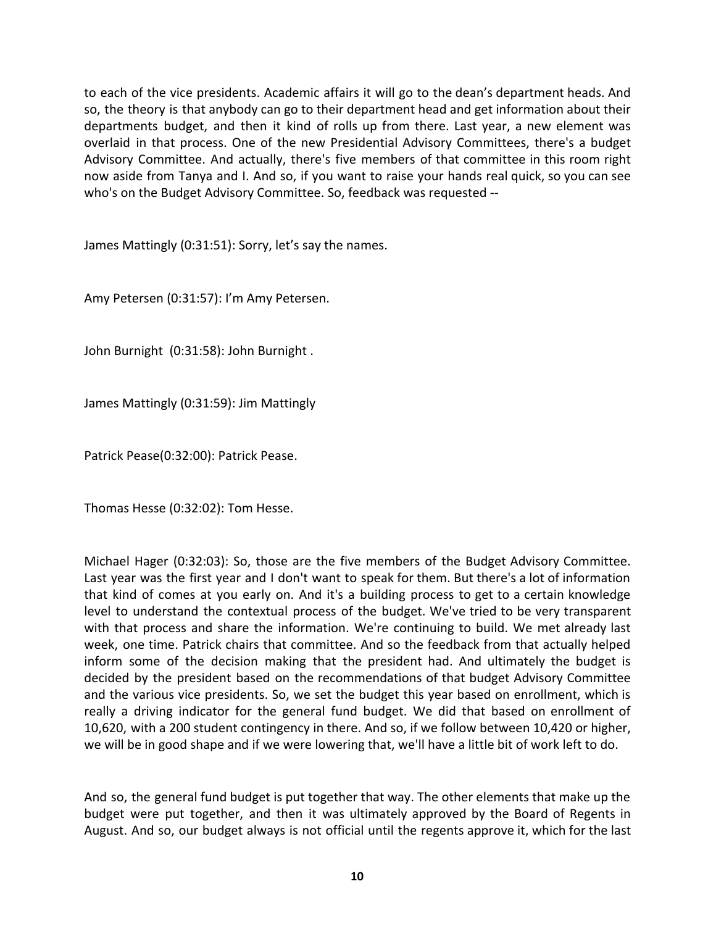to each of the vice presidents. Academic affairs it will go to the dean's department heads. And so, the theory is that anybody can go to their department head and get information about their departments budget, and then it kind of rolls up from there. Last year, a new element was overlaid in that process. One of the new Presidential Advisory Committees, there's a budget Advisory Committee. And actually, there's five members of that committee in this room right now aside from Tanya and I. And so, if you want to raise your hands real quick, so you can see who's on the Budget Advisory Committee. So, feedback was requested --

James Mattingly (0:31:51): Sorry, let's say the names.

Amy Petersen (0:31:57): I'm Amy Petersen.

John Burnight (0:31:58): John Burnight .

James Mattingly (0:31:59): Jim Mattingly

Patrick Pease(0:32:00): Patrick Pease.

Thomas Hesse (0:32:02): Tom Hesse.

Michael Hager (0:32:03): So, those are the five members of the Budget Advisory Committee. Last year was the first year and I don't want to speak for them. But there's a lot of information that kind of comes at you early on. And it's a building process to get to a certain knowledge level to understand the contextual process of the budget. We've tried to be very transparent with that process and share the information. We're continuing to build. We met already last week, one time. Patrick chairs that committee. And so the feedback from that actually helped inform some of the decision making that the president had. And ultimately the budget is decided by the president based on the recommendations of that budget Advisory Committee and the various vice presidents. So, we set the budget this year based on enrollment, which is really a driving indicator for the general fund budget. We did that based on enrollment of 10,620, with a 200 student contingency in there. And so, if we follow between 10,420 or higher, we will be in good shape and if we were lowering that, we'll have a little bit of work left to do.

And so, the general fund budget is put together that way. The other elements that make up the budget were put together, and then it was ultimately approved by the Board of Regents in August. And so, our budget always is not official until the regents approve it, which for the last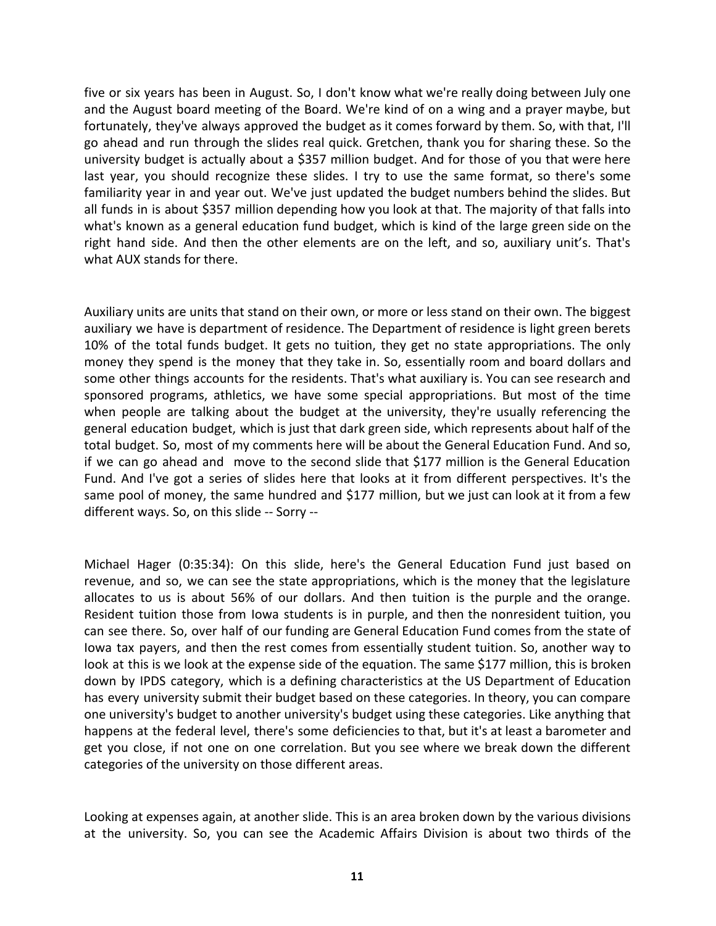five or six years has been in August. So, I don't know what we're really doing between July one and the August board meeting of the Board. We're kind of on a wing and a prayer maybe, but fortunately, they've always approved the budget as it comes forward by them. So, with that, I'll go ahead and run through the slides real quick. Gretchen, thank you for sharing these. So the university budget is actually about a \$357 million budget. And for those of you that were here last year, you should recognize these slides. I try to use the same format, so there's some familiarity year in and year out. We've just updated the budget numbers behind the slides. But all funds in is about \$357 million depending how you look at that. The majority of that falls into what's known as a general education fund budget, which is kind of the large green side on the right hand side. And then the other elements are on the left, and so, auxiliary unit's. That's what AUX stands for there.

Auxiliary units are units that stand on their own, or more or less stand on their own. The biggest auxiliary we have is department of residence. The Department of residence is light green berets 10% of the total funds budget. It gets no tuition, they get no state appropriations. The only money they spend is the money that they take in. So, essentially room and board dollars and some other things accounts for the residents. That's what auxiliary is. You can see research and sponsored programs, athletics, we have some special appropriations. But most of the time when people are talking about the budget at the university, they're usually referencing the general education budget, which is just that dark green side, which represents about half of the total budget. So, most of my comments here will be about the General Education Fund. And so, if we can go ahead and move to the second slide that \$177 million is the General Education Fund. And I've got a series of slides here that looks at it from different perspectives. It's the same pool of money, the same hundred and \$177 million, but we just can look at it from a few different ways. So, on this slide -- Sorry --

Michael Hager (0:35:34): On this slide, here's the General Education Fund just based on revenue, and so, we can see the state appropriations, which is the money that the legislature allocates to us is about 56% of our dollars. And then tuition is the purple and the orange. Resident tuition those from Iowa students is in purple, and then the nonresident tuition, you can see there. So, over half of our funding are General Education Fund comes from the state of Iowa tax payers, and then the rest comes from essentially student tuition. So, another way to look at this is we look at the expense side of the equation. The same \$177 million, this is broken down by IPDS category, which is a defining characteristics at the US Department of Education has every university submit their budget based on these categories. In theory, you can compare one university's budget to another university's budget using these categories. Like anything that happens at the federal level, there's some deficiencies to that, but it's at least a barometer and get you close, if not one on one correlation. But you see where we break down the different categories of the university on those different areas.

Looking at expenses again, at another slide. This is an area broken down by the various divisions at the university. So, you can see the Academic Affairs Division is about two thirds of the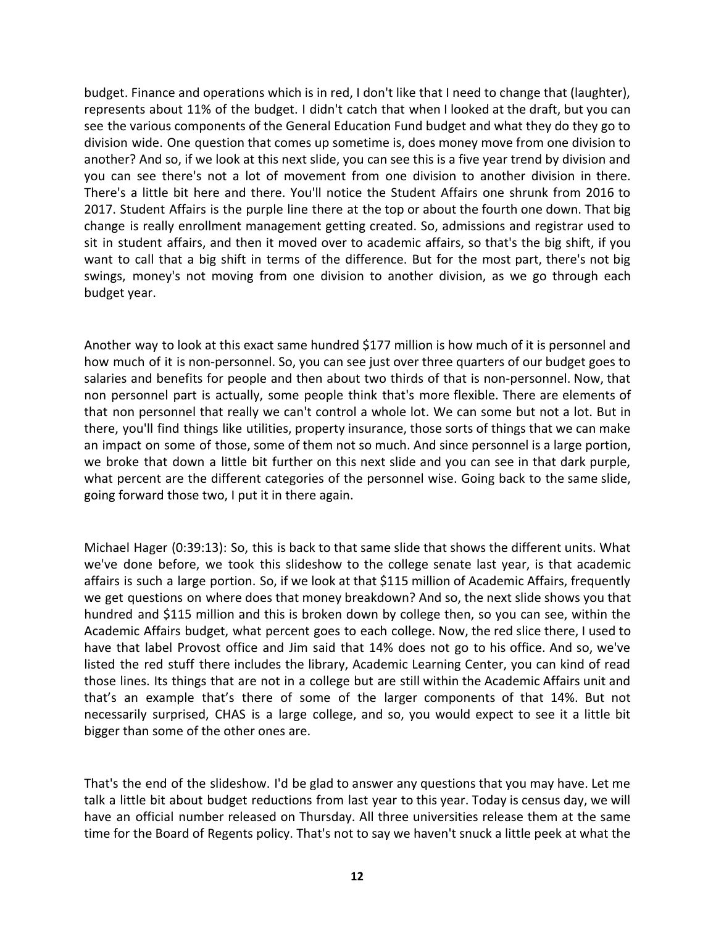budget. Finance and operations which is in red, I don't like that I need to change that (laughter), represents about 11% of the budget. I didn't catch that when I looked at the draft, but you can see the various components of the General Education Fund budget and what they do they go to division wide. One question that comes up sometime is, does money move from one division to another? And so, if we look at this next slide, you can see this is a five year trend by division and you can see there's not a lot of movement from one division to another division in there. There's a little bit here and there. You'll notice the Student Affairs one shrunk from 2016 to 2017. Student Affairs is the purple line there at the top or about the fourth one down. That big change is really enrollment management getting created. So, admissions and registrar used to sit in student affairs, and then it moved over to academic affairs, so that's the big shift, if you want to call that a big shift in terms of the difference. But for the most part, there's not big swings, money's not moving from one division to another division, as we go through each budget year.

Another way to look at this exact same hundred \$177 million is how much of it is personnel and how much of it is non-personnel. So, you can see just over three quarters of our budget goes to salaries and benefits for people and then about two thirds of that is non-personnel. Now, that non personnel part is actually, some people think that's more flexible. There are elements of that non personnel that really we can't control a whole lot. We can some but not a lot. But in there, you'll find things like utilities, property insurance, those sorts of things that we can make an impact on some of those, some of them not so much. And since personnel is a large portion, we broke that down a little bit further on this next slide and you can see in that dark purple, what percent are the different categories of the personnel wise. Going back to the same slide, going forward those two, I put it in there again.

Michael Hager (0:39:13): So, this is back to that same slide that shows the different units. What we've done before, we took this slideshow to the college senate last year, is that academic affairs is such a large portion. So, if we look at that \$115 million of Academic Affairs, frequently we get questions on where does that money breakdown? And so, the next slide shows you that hundred and \$115 million and this is broken down by college then, so you can see, within the Academic Affairs budget, what percent goes to each college. Now, the red slice there, I used to have that label Provost office and Jim said that 14% does not go to his office. And so, we've listed the red stuff there includes the library, Academic Learning Center, you can kind of read those lines. Its things that are not in a college but are still within the Academic Affairs unit and that's an example that's there of some of the larger components of that 14%. But not necessarily surprised, CHAS is a large college, and so, you would expect to see it a little bit bigger than some of the other ones are.

That's the end of the slideshow. I'd be glad to answer any questions that you may have. Let me talk a little bit about budget reductions from last year to this year. Today is census day, we will have an official number released on Thursday. All three universities release them at the same time for the Board of Regents policy. That's not to say we haven't snuck a little peek at what the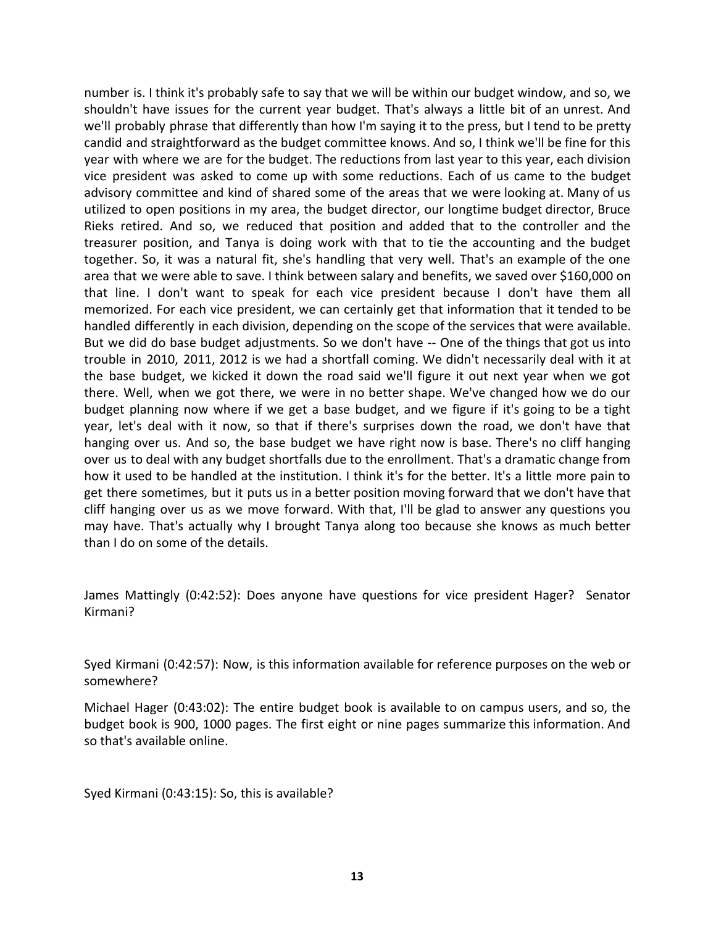number is. I think it's probably safe to say that we will be within our budget window, and so, we shouldn't have issues for the current year budget. That's always a little bit of an unrest. And we'll probably phrase that differently than how I'm saying it to the press, but I tend to be pretty candid and straightforward as the budget committee knows. And so, I think we'll be fine for this year with where we are for the budget. The reductions from last year to this year, each division vice president was asked to come up with some reductions. Each of us came to the budget advisory committee and kind of shared some of the areas that we were looking at. Many of us utilized to open positions in my area, the budget director, our longtime budget director, Bruce Rieks retired. And so, we reduced that position and added that to the controller and the treasurer position, and Tanya is doing work with that to tie the accounting and the budget together. So, it was a natural fit, she's handling that very well. That's an example of the one area that we were able to save. I think between salary and benefits, we saved over \$160,000 on that line. I don't want to speak for each vice president because I don't have them all memorized. For each vice president, we can certainly get that information that it tended to be handled differently in each division, depending on the scope of the services that were available. But we did do base budget adjustments. So we don't have -- One of the things that got us into trouble in 2010, 2011, 2012 is we had a shortfall coming. We didn't necessarily deal with it at the base budget, we kicked it down the road said we'll figure it out next year when we got there. Well, when we got there, we were in no better shape. We've changed how we do our budget planning now where if we get a base budget, and we figure if it's going to be a tight year, let's deal with it now, so that if there's surprises down the road, we don't have that hanging over us. And so, the base budget we have right now is base. There's no cliff hanging over us to deal with any budget shortfalls due to the enrollment. That's a dramatic change from how it used to be handled at the institution. I think it's for the better. It's a little more pain to get there sometimes, but it puts us in a better position moving forward that we don't have that cliff hanging over us as we move forward. With that, I'll be glad to answer any questions you may have. That's actually why I brought Tanya along too because she knows as much better than I do on some of the details.

James Mattingly (0:42:52): Does anyone have questions for vice president Hager? Senator Kirmani?

Syed Kirmani (0:42:57): Now, is this information available for reference purposes on the web or somewhere?

Michael Hager (0:43:02): The entire budget book is available to on campus users, and so, the budget book is 900, 1000 pages. The first eight or nine pages summarize this information. And so that's available online.

Syed Kirmani (0:43:15): So, this is available?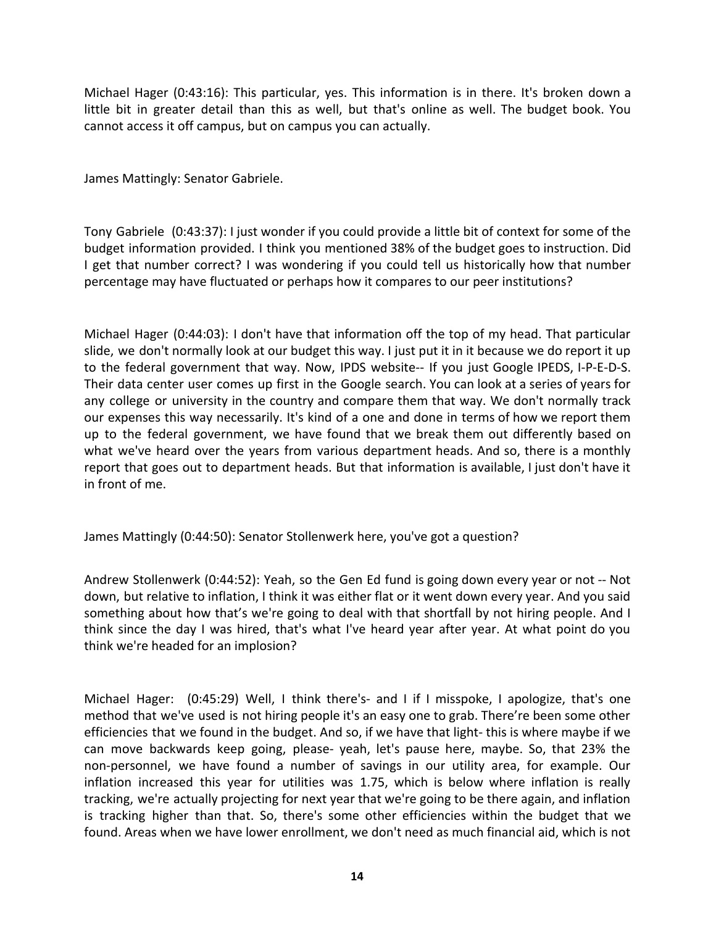Michael Hager (0:43:16): This particular, yes. This information is in there. It's broken down a little bit in greater detail than this as well, but that's online as well. The budget book. You cannot access it off campus, but on campus you can actually.

James Mattingly: Senator Gabriele.

Tony Gabriele (0:43:37): I just wonder if you could provide a little bit of context for some of the budget information provided. I think you mentioned 38% of the budget goes to instruction. Did I get that number correct? I was wondering if you could tell us historically how that number percentage may have fluctuated or perhaps how it compares to our peer institutions?

Michael Hager (0:44:03): I don't have that information off the top of my head. That particular slide, we don't normally look at our budget this way. I just put it in it because we do report it up to the federal government that way. Now, IPDS website-- If you just Google IPEDS, I-P-E-D-S. Their data center user comes up first in the Google search. You can look at a series of years for any college or university in the country and compare them that way. We don't normally track our expenses this way necessarily. It's kind of a one and done in terms of how we report them up to the federal government, we have found that we break them out differently based on what we've heard over the years from various department heads. And so, there is a monthly report that goes out to department heads. But that information is available, I just don't have it in front of me.

James Mattingly (0:44:50): Senator Stollenwerk here, you've got a question?

Andrew Stollenwerk (0:44:52): Yeah, so the Gen Ed fund is going down every year or not -- Not down, but relative to inflation, I think it was either flat or it went down every year. And you said something about how that's we're going to deal with that shortfall by not hiring people. And I think since the day I was hired, that's what I've heard year after year. At what point do you think we're headed for an implosion?

Michael Hager: (0:45:29) Well, I think there's- and I if I misspoke, I apologize, that's one method that we've used is not hiring people it's an easy one to grab. There're been some other efficiencies that we found in the budget. And so, if we have that light- this is where maybe if we can move backwards keep going, please- yeah, let's pause here, maybe. So, that 23% the non-personnel, we have found a number of savings in our utility area, for example. Our inflation increased this year for utilities was 1.75, which is below where inflation is really tracking, we're actually projecting for next year that we're going to be there again, and inflation is tracking higher than that. So, there's some other efficiencies within the budget that we found. Areas when we have lower enrollment, we don't need as much financial aid, which is not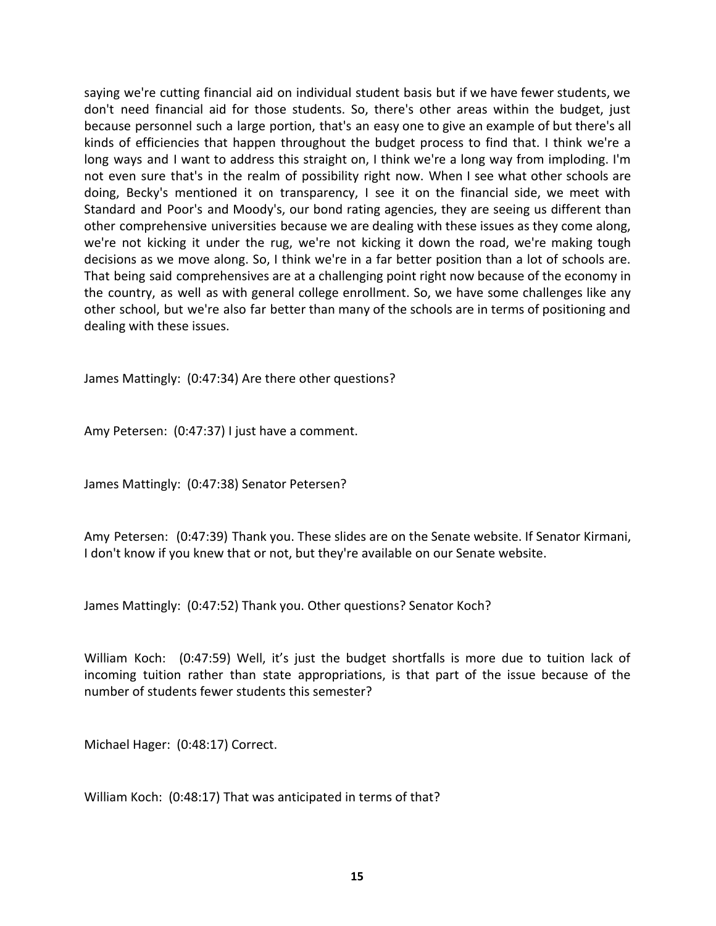saying we're cutting financial aid on individual student basis but if we have fewer students, we don't need financial aid for those students. So, there's other areas within the budget, just because personnel such a large portion, that's an easy one to give an example of but there's all kinds of efficiencies that happen throughout the budget process to find that. I think we're a long ways and I want to address this straight on, I think we're a long way from imploding. I'm not even sure that's in the realm of possibility right now. When I see what other schools are doing, Becky's mentioned it on transparency, I see it on the financial side, we meet with Standard and Poor's and Moody's, our bond rating agencies, they are seeing us different than other comprehensive universities because we are dealing with these issues as they come along, we're not kicking it under the rug, we're not kicking it down the road, we're making tough decisions as we move along. So, I think we're in a far better position than a lot of schools are. That being said comprehensives are at a challenging point right now because of the economy in the country, as well as with general college enrollment. So, we have some challenges like any other school, but we're also far better than many of the schools are in terms of positioning and dealing with these issues.

James Mattingly: (0:47:34) Are there other questions?

Amy Petersen: (0:47:37) I just have a comment.

James Mattingly: (0:47:38) Senator Petersen?

Amy Petersen: (0:47:39) Thank you. These slides are on the Senate website. If Senator Kirmani, I don't know if you knew that or not, but they're available on our Senate website.

James Mattingly: (0:47:52) Thank you. Other questions? Senator Koch?

William Koch: (0:47:59) Well, it's just the budget shortfalls is more due to tuition lack of incoming tuition rather than state appropriations, is that part of the issue because of the number of students fewer students this semester?

Michael Hager: (0:48:17) Correct.

William Koch: (0:48:17) That was anticipated in terms of that?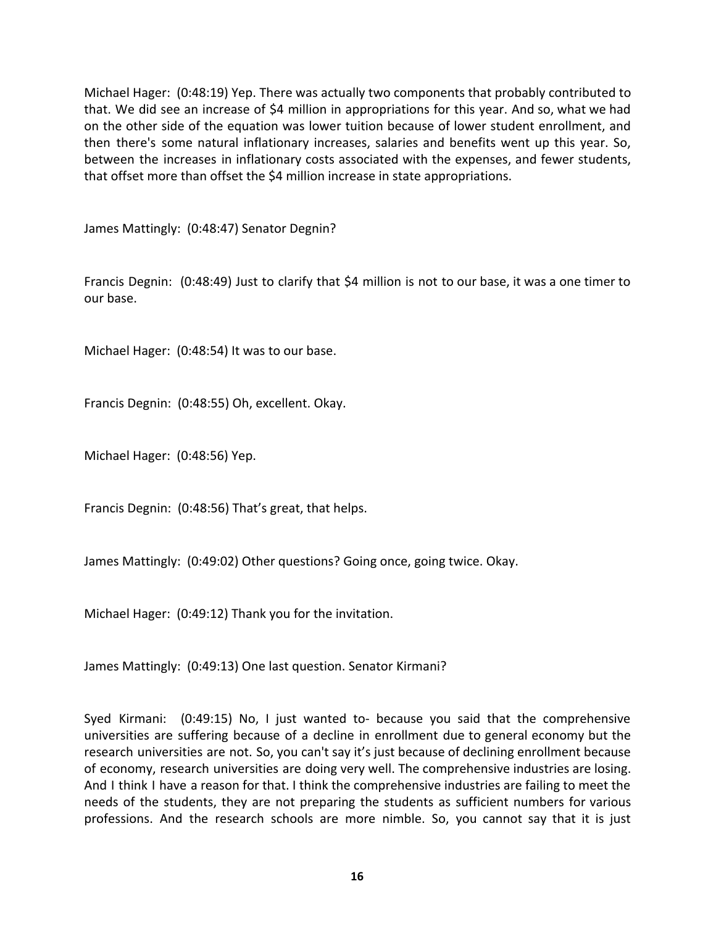Michael Hager: (0:48:19) Yep. There was actually two components that probably contributed to that. We did see an increase of \$4 million in appropriations for this year. And so, what we had on the other side of the equation was lower tuition because of lower student enrollment, and then there's some natural inflationary increases, salaries and benefits went up this year. So, between the increases in inflationary costs associated with the expenses, and fewer students, that offset more than offset the \$4 million increase in state appropriations.

James Mattingly: (0:48:47) Senator Degnin?

Francis Degnin: (0:48:49) Just to clarify that \$4 million is not to our base, it was a one timer to our base.

Michael Hager: (0:48:54) It was to our base.

Francis Degnin: (0:48:55) Oh, excellent. Okay.

Michael Hager: (0:48:56) Yep.

Francis Degnin: (0:48:56) That's great, that helps.

James Mattingly: (0:49:02) Other questions? Going once, going twice. Okay.

Michael Hager: (0:49:12) Thank you for the invitation.

James Mattingly: (0:49:13) One last question. Senator Kirmani?

Syed Kirmani: (0:49:15) No, I just wanted to- because you said that the comprehensive universities are suffering because of a decline in enrollment due to general economy but the research universities are not. So, you can't say it's just because of declining enrollment because of economy, research universities are doing very well. The comprehensive industries are losing. And I think I have a reason for that. I think the comprehensive industries are failing to meet the needs of the students, they are not preparing the students as sufficient numbers for various professions. And the research schools are more nimble. So, you cannot say that it is just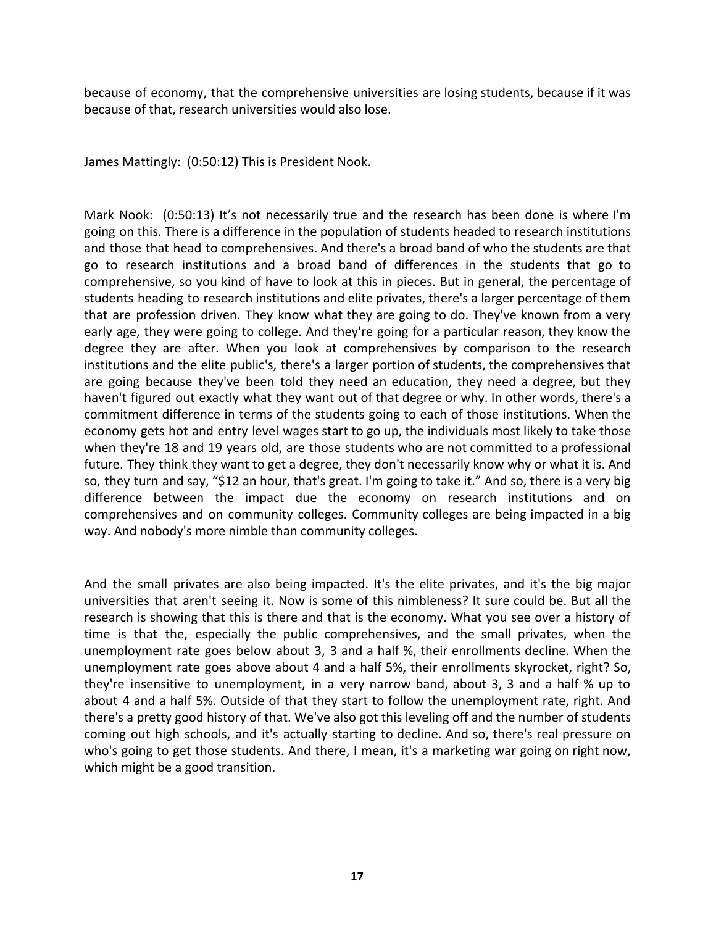because of economy, that the comprehensive universities are losing students, because if it was because of that, research universities would also lose.

James Mattingly: (0:50:12) This is President Nook.

Mark Nook: (0:50:13) It's not necessarily true and the research has been done is where I'm going on this. There is a difference in the population of students headed to research institutions and those that head to comprehensives. And there's a broad band of who the students are that go to research institutions and a broad band of differences in the students that go to comprehensive, so you kind of have to look at this in pieces. But in general, the percentage of students heading to research institutions and elite privates, there's a larger percentage of them that are profession driven. They know what they are going to do. They've known from a very early age, they were going to college. And they're going for a particular reason, they know the degree they are after. When you look at comprehensives by comparison to the research institutions and the elite public's, there's a larger portion of students, the comprehensives that are going because they've been told they need an education, they need a degree, but they haven't figured out exactly what they want out of that degree or why. In other words, there's a commitment difference in terms of the students going to each of those institutions. When the economy gets hot and entry level wages start to go up, the individuals most likely to take those when they're 18 and 19 years old, are those students who are not committed to a professional future. They think they want to get a degree, they don't necessarily know why or what it is. And so, they turn and say, "\$12 an hour, that's great. I'm going to take it." And so, there is a very big difference between the impact due the economy on research institutions and on comprehensives and on community colleges. Community colleges are being impacted in a big way. And nobody's more nimble than community colleges.

And the small privates are also being impacted. It's the elite privates, and it's the big major universities that aren't seeing it. Now is some of this nimbleness? It sure could be. But all the research is showing that this is there and that is the economy. What you see over a history of time is that the, especially the public comprehensives, and the small privates, when the unemployment rate goes below about 3, 3 and a half %, their enrollments decline. When the unemployment rate goes above about 4 and a half 5%, their enrollments skyrocket, right? So, they're insensitive to unemployment, in a very narrow band, about 3, 3 and a half % up to about 4 and a half 5%. Outside of that they start to follow the unemployment rate, right. And there's a pretty good history of that. We've also got this leveling off and the number of students coming out high schools, and it's actually starting to decline. And so, there's real pressure on who's going to get those students. And there, I mean, it's a marketing war going on right now, which might be a good transition.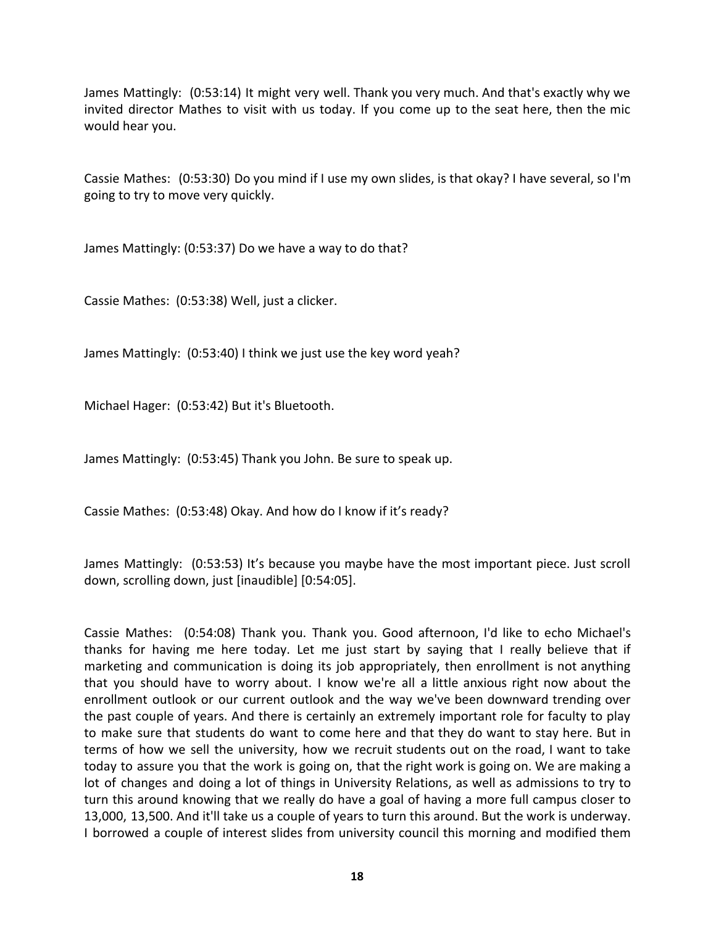James Mattingly: (0:53:14) It might very well. Thank you very much. And that's exactly why we invited director Mathes to visit with us today. If you come up to the seat here, then the mic would hear you.

Cassie Mathes: (0:53:30) Do you mind if I use my own slides, is that okay? I have several, so I'm going to try to move very quickly.

James Mattingly: (0:53:37) Do we have a way to do that?

Cassie Mathes: (0:53:38) Well, just a clicker.

James Mattingly: (0:53:40) I think we just use the key word yeah?

Michael Hager: (0:53:42) But it's Bluetooth.

James Mattingly: (0:53:45) Thank you John. Be sure to speak up.

Cassie Mathes: (0:53:48) Okay. And how do I know if it's ready?

James Mattingly: (0:53:53) It's because you maybe have the most important piece. Just scroll down, scrolling down, just [inaudible] [0:54:05].

Cassie Mathes: (0:54:08) Thank you. Thank you. Good afternoon, I'd like to echo Michael's thanks for having me here today. Let me just start by saying that I really believe that if marketing and communication is doing its job appropriately, then enrollment is not anything that you should have to worry about. I know we're all a little anxious right now about the enrollment outlook or our current outlook and the way we've been downward trending over the past couple of years. And there is certainly an extremely important role for faculty to play to make sure that students do want to come here and that they do want to stay here. But in terms of how we sell the university, how we recruit students out on the road, I want to take today to assure you that the work is going on, that the right work is going on. We are making a lot of changes and doing a lot of things in University Relations, as well as admissions to try to turn this around knowing that we really do have a goal of having a more full campus closer to 13,000, 13,500. And it'll take us a couple of years to turn this around. But the work is underway. I borrowed a couple of interest slides from university council this morning and modified them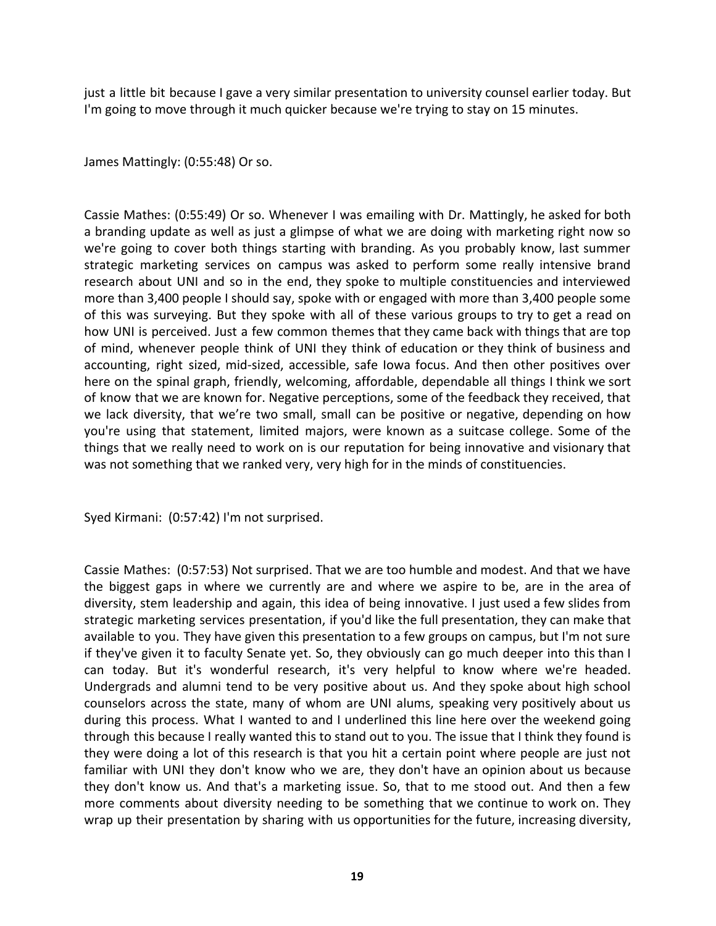just a little bit because I gave a very similar presentation to university counsel earlier today. But I'm going to move through it much quicker because we're trying to stay on 15 minutes.

James Mattingly: (0:55:48) Or so.

Cassie Mathes: (0:55:49) Or so. Whenever I was emailing with Dr. Mattingly, he asked for both a branding update as well as just a glimpse of what we are doing with marketing right now so we're going to cover both things starting with branding. As you probably know, last summer strategic marketing services on campus was asked to perform some really intensive brand research about UNI and so in the end, they spoke to multiple constituencies and interviewed more than 3,400 people I should say, spoke with or engaged with more than 3,400 people some of this was surveying. But they spoke with all of these various groups to try to get a read on how UNI is perceived. Just a few common themes that they came back with things that are top of mind, whenever people think of UNI they think of education or they think of business and accounting, right sized, mid-sized, accessible, safe Iowa focus. And then other positives over here on the spinal graph, friendly, welcoming, affordable, dependable all things I think we sort of know that we are known for. Negative perceptions, some of the feedback they received, that we lack diversity, that we're two small, small can be positive or negative, depending on how you're using that statement, limited majors, were known as a suitcase college. Some of the things that we really need to work on is our reputation for being innovative and visionary that was not something that we ranked very, very high for in the minds of constituencies.

Syed Kirmani: (0:57:42) I'm not surprised.

Cassie Mathes: (0:57:53) Not surprised. That we are too humble and modest. And that we have the biggest gaps in where we currently are and where we aspire to be, are in the area of diversity, stem leadership and again, this idea of being innovative. I just used a few slides from strategic marketing services presentation, if you'd like the full presentation, they can make that available to you. They have given this presentation to a few groups on campus, but I'm not sure if they've given it to faculty Senate yet. So, they obviously can go much deeper into this than I can today. But it's wonderful research, it's very helpful to know where we're headed. Undergrads and alumni tend to be very positive about us. And they spoke about high school counselors across the state, many of whom are UNI alums, speaking very positively about us during this process. What I wanted to and I underlined this line here over the weekend going through this because I really wanted this to stand out to you. The issue that I think they found is they were doing a lot of this research is that you hit a certain point where people are just not familiar with UNI they don't know who we are, they don't have an opinion about us because they don't know us. And that's a marketing issue. So, that to me stood out. And then a few more comments about diversity needing to be something that we continue to work on. They wrap up their presentation by sharing with us opportunities for the future, increasing diversity,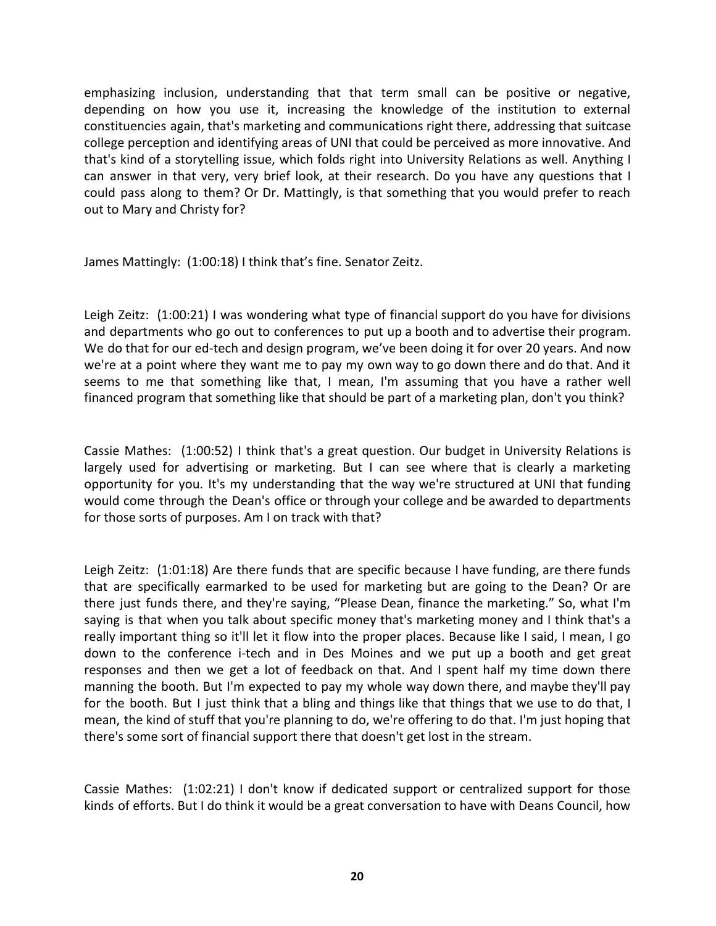emphasizing inclusion, understanding that that term small can be positive or negative, depending on how you use it, increasing the knowledge of the institution to external constituencies again, that's marketing and communications right there, addressing that suitcase college perception and identifying areas of UNI that could be perceived as more innovative. And that's kind of a storytelling issue, which folds right into University Relations as well. Anything I can answer in that very, very brief look, at their research. Do you have any questions that I could pass along to them? Or Dr. Mattingly, is that something that you would prefer to reach out to Mary and Christy for?

James Mattingly: (1:00:18) I think that's fine. Senator Zeitz.

Leigh Zeitz: (1:00:21) I was wondering what type of financial support do you have for divisions and departments who go out to conferences to put up a booth and to advertise their program. We do that for our ed-tech and design program, we've been doing it for over 20 years. And now we're at a point where they want me to pay my own way to go down there and do that. And it seems to me that something like that, I mean, I'm assuming that you have a rather well financed program that something like that should be part of a marketing plan, don't you think?

Cassie Mathes: (1:00:52) I think that's a great question. Our budget in University Relations is largely used for advertising or marketing. But I can see where that is clearly a marketing opportunity for you. It's my understanding that the way we're structured at UNI that funding would come through the Dean's office or through your college and be awarded to departments for those sorts of purposes. Am I on track with that?

Leigh Zeitz: (1:01:18) Are there funds that are specific because I have funding, are there funds that are specifically earmarked to be used for marketing but are going to the Dean? Or are there just funds there, and they're saying, "Please Dean, finance the marketing." So, what I'm saying is that when you talk about specific money that's marketing money and I think that's a really important thing so it'll let it flow into the proper places. Because like I said, I mean, I go down to the conference i-tech and in Des Moines and we put up a booth and get great responses and then we get a lot of feedback on that. And I spent half my time down there manning the booth. But I'm expected to pay my whole way down there, and maybe they'll pay for the booth. But I just think that a bling and things like that things that we use to do that, I mean, the kind of stuff that you're planning to do, we're offering to do that. I'm just hoping that there's some sort of financial support there that doesn't get lost in the stream.

Cassie Mathes: (1:02:21) I don't know if dedicated support or centralized support for those kinds of efforts. But I do think it would be a great conversation to have with Deans Council, how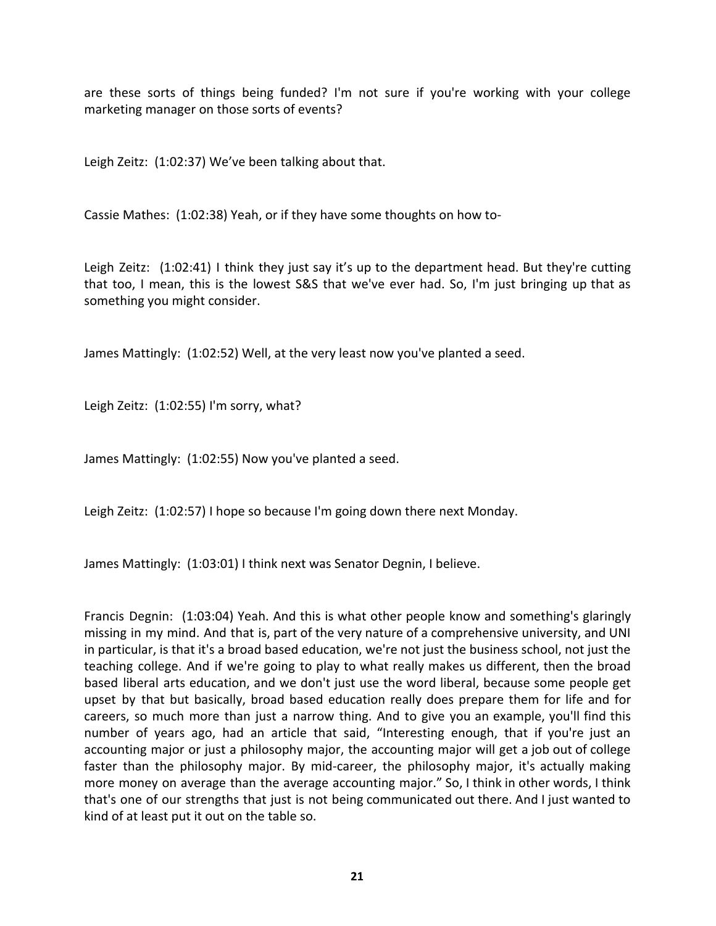are these sorts of things being funded? I'm not sure if you're working with your college marketing manager on those sorts of events?

Leigh Zeitz: (1:02:37) We've been talking about that.

Cassie Mathes: (1:02:38) Yeah, or if they have some thoughts on how to-

Leigh Zeitz: (1:02:41) I think they just say it's up to the department head. But they're cutting that too, I mean, this is the lowest S&S that we've ever had. So, I'm just bringing up that as something you might consider.

James Mattingly: (1:02:52) Well, at the very least now you've planted a seed.

Leigh Zeitz: (1:02:55) I'm sorry, what?

James Mattingly: (1:02:55) Now you've planted a seed.

Leigh Zeitz: (1:02:57) I hope so because I'm going down there next Monday.

James Mattingly: (1:03:01) I think next was Senator Degnin, I believe.

Francis Degnin: (1:03:04) Yeah. And this is what other people know and something's glaringly missing in my mind. And that is, part of the very nature of a comprehensive university, and UNI in particular, is that it's a broad based education, we're not just the business school, not just the teaching college. And if we're going to play to what really makes us different, then the broad based liberal arts education, and we don't just use the word liberal, because some people get upset by that but basically, broad based education really does prepare them for life and for careers, so much more than just a narrow thing. And to give you an example, you'll find this number of years ago, had an article that said, "Interesting enough, that if you're just an accounting major or just a philosophy major, the accounting major will get a job out of college faster than the philosophy major. By mid-career, the philosophy major, it's actually making more money on average than the average accounting major." So, I think in other words, I think that's one of our strengths that just is not being communicated out there. And I just wanted to kind of at least put it out on the table so.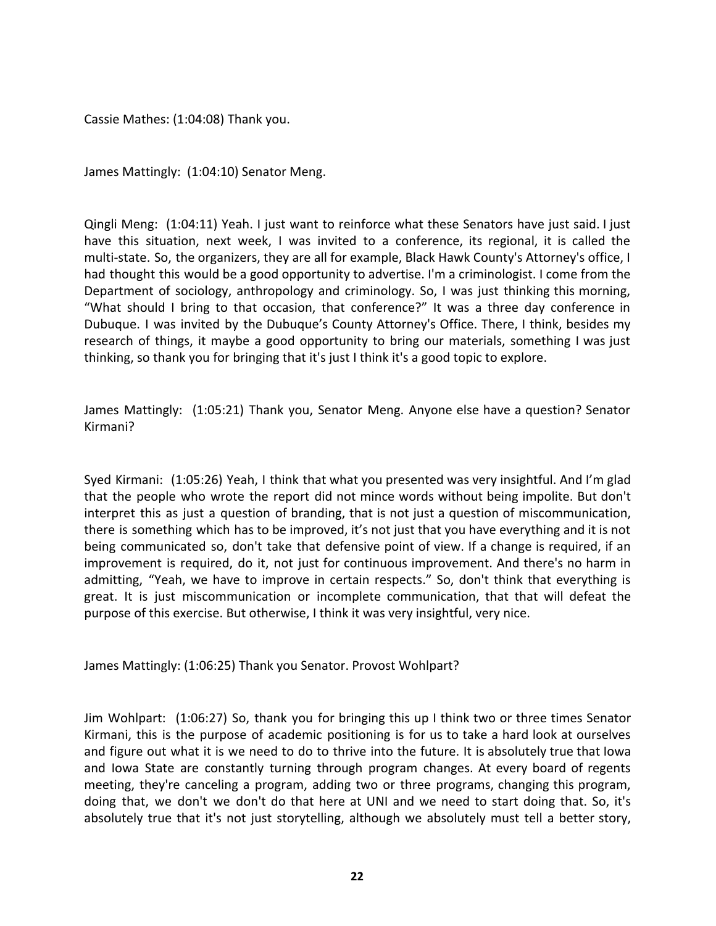Cassie Mathes: (1:04:08) Thank you.

James Mattingly: (1:04:10) Senator Meng.

Qingli Meng: (1:04:11) Yeah. I just want to reinforce what these Senators have just said. I just have this situation, next week, I was invited to a conference, its regional, it is called the multi-state. So, the organizers, they are all for example, Black Hawk County's Attorney's office, I had thought this would be a good opportunity to advertise. I'm a criminologist. I come from the Department of sociology, anthropology and criminology. So, I was just thinking this morning, "What should I bring to that occasion, that conference?" It was a three day conference in Dubuque. I was invited by the Dubuque's County Attorney's Office. There, I think, besides my research of things, it maybe a good opportunity to bring our materials, something I was just thinking, so thank you for bringing that it's just I think it's a good topic to explore.

James Mattingly: (1:05:21) Thank you, Senator Meng. Anyone else have a question? Senator Kirmani?

Syed Kirmani: (1:05:26) Yeah, I think that what you presented was very insightful. And I'm glad that the people who wrote the report did not mince words without being impolite. But don't interpret this as just a question of branding, that is not just a question of miscommunication, there is something which has to be improved, it's not just that you have everything and it is not being communicated so, don't take that defensive point of view. If a change is required, if an improvement is required, do it, not just for continuous improvement. And there's no harm in admitting, "Yeah, we have to improve in certain respects." So, don't think that everything is great. It is just miscommunication or incomplete communication, that that will defeat the purpose of this exercise. But otherwise, I think it was very insightful, very nice.

James Mattingly: (1:06:25) Thank you Senator. Provost Wohlpart?

Jim Wohlpart: (1:06:27) So, thank you for bringing this up I think two or three times Senator Kirmani, this is the purpose of academic positioning is for us to take a hard look at ourselves and figure out what it is we need to do to thrive into the future. It is absolutely true that Iowa and Iowa State are constantly turning through program changes. At every board of regents meeting, they're canceling a program, adding two or three programs, changing this program, doing that, we don't we don't do that here at UNI and we need to start doing that. So, it's absolutely true that it's not just storytelling, although we absolutely must tell a better story,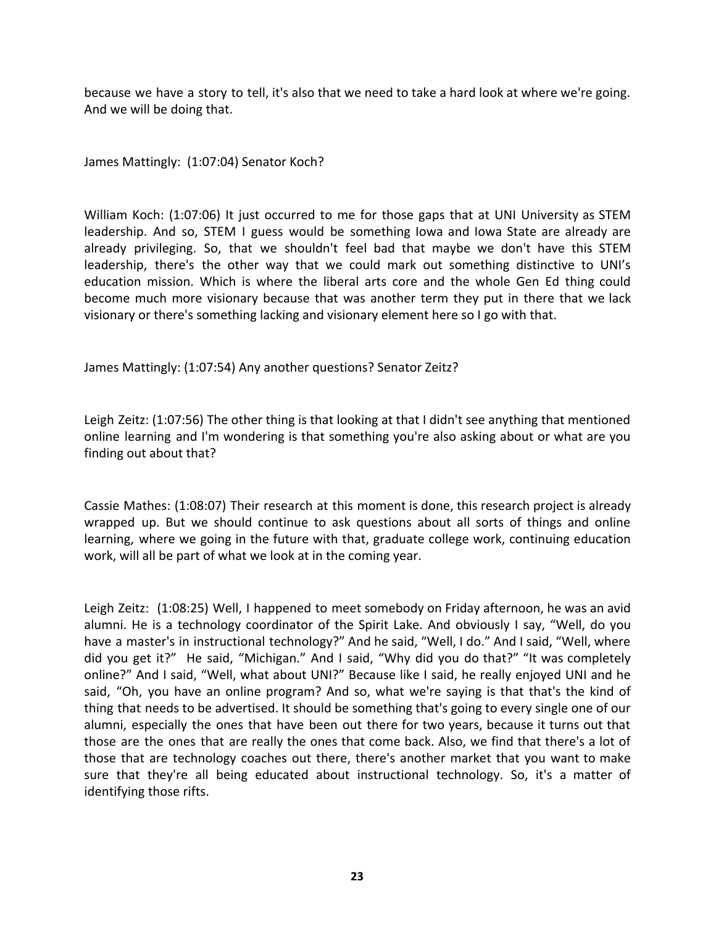because we have a story to tell, it's also that we need to take a hard look at where we're going. And we will be doing that.

James Mattingly: (1:07:04) Senator Koch?

William Koch: (1:07:06) It just occurred to me for those gaps that at UNI University as STEM leadership. And so, STEM I guess would be something Iowa and Iowa State are already are already privileging. So, that we shouldn't feel bad that maybe we don't have this STEM leadership, there's the other way that we could mark out something distinctive to UNI's education mission. Which is where the liberal arts core and the whole Gen Ed thing could become much more visionary because that was another term they put in there that we lack visionary or there's something lacking and visionary element here so I go with that.

James Mattingly: (1:07:54) Any another questions? Senator Zeitz?

Leigh Zeitz: (1:07:56) The other thing is that looking at that I didn't see anything that mentioned online learning and I'm wondering is that something you're also asking about or what are you finding out about that?

Cassie Mathes: (1:08:07) Their research at this moment is done, this research project is already wrapped up. But we should continue to ask questions about all sorts of things and online learning, where we going in the future with that, graduate college work, continuing education work, will all be part of what we look at in the coming year.

Leigh Zeitz: (1:08:25) Well, I happened to meet somebody on Friday afternoon, he was an avid alumni. He is a technology coordinator of the Spirit Lake. And obviously I say, "Well, do you have a master's in instructional technology?" And he said, "Well, I do." And I said, "Well, where did you get it?" He said, "Michigan." And I said, "Why did you do that?" "It was completely online?" And I said, "Well, what about UNI?" Because like I said, he really enjoyed UNI and he said, "Oh, you have an online program? And so, what we're saying is that that's the kind of thing that needs to be advertised. It should be something that's going to every single one of our alumni, especially the ones that have been out there for two years, because it turns out that those are the ones that are really the ones that come back. Also, we find that there's a lot of those that are technology coaches out there, there's another market that you want to make sure that they're all being educated about instructional technology. So, it's a matter of identifying those rifts.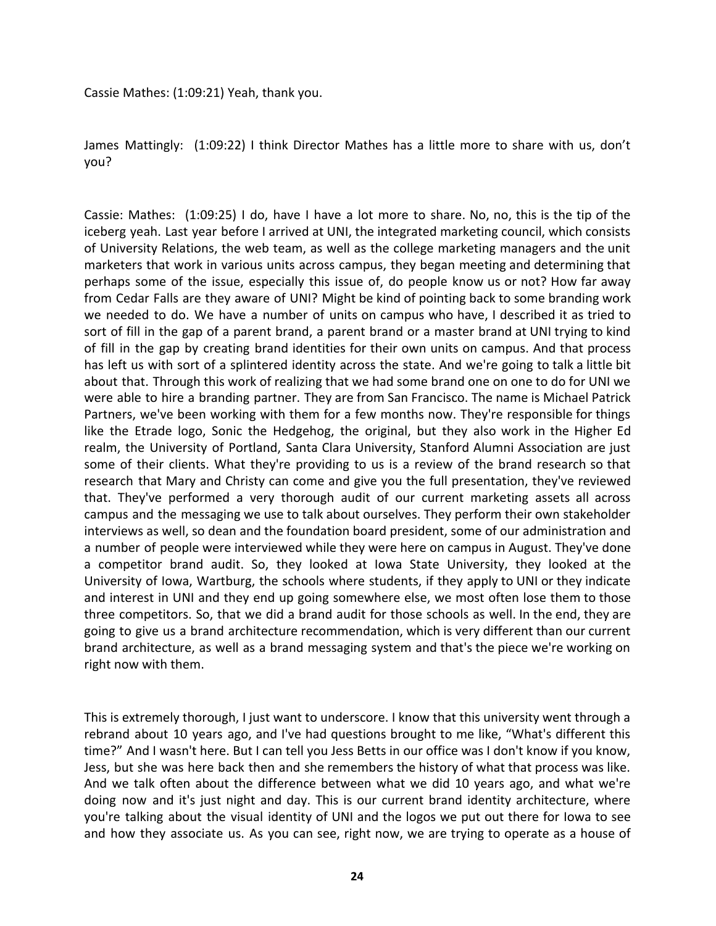Cassie Mathes: (1:09:21) Yeah, thank you.

James Mattingly: (1:09:22) I think Director Mathes has a little more to share with us, don't you?

Cassie: Mathes: (1:09:25) I do, have I have a lot more to share. No, no, this is the tip of the iceberg yeah. Last year before I arrived at UNI, the integrated marketing council, which consists of University Relations, the web team, as well as the college marketing managers and the unit marketers that work in various units across campus, they began meeting and determining that perhaps some of the issue, especially this issue of, do people know us or not? How far away from Cedar Falls are they aware of UNI? Might be kind of pointing back to some branding work we needed to do. We have a number of units on campus who have, I described it as tried to sort of fill in the gap of a parent brand, a parent brand or a master brand at UNI trying to kind of fill in the gap by creating brand identities for their own units on campus. And that process has left us with sort of a splintered identity across the state. And we're going to talk a little bit about that. Through this work of realizing that we had some brand one on one to do for UNI we were able to hire a branding partner. They are from San Francisco. The name is Michael Patrick Partners, we've been working with them for a few months now. They're responsible for things like the Etrade logo, Sonic the Hedgehog, the original, but they also work in the Higher Ed realm, the University of Portland, Santa Clara University, Stanford Alumni Association are just some of their clients. What they're providing to us is a review of the brand research so that research that Mary and Christy can come and give you the full presentation, they've reviewed that. They've performed a very thorough audit of our current marketing assets all across campus and the messaging we use to talk about ourselves. They perform their own stakeholder interviews as well, so dean and the foundation board president, some of our administration and a number of people were interviewed while they were here on campus in August. They've done a competitor brand audit. So, they looked at Iowa State University, they looked at the University of Iowa, Wartburg, the schools where students, if they apply to UNI or they indicate and interest in UNI and they end up going somewhere else, we most often lose them to those three competitors. So, that we did a brand audit for those schools as well. In the end, they are going to give us a brand architecture recommendation, which is very different than our current brand architecture, as well as a brand messaging system and that's the piece we're working on right now with them.

This is extremely thorough, I just want to underscore. I know that this university went through a rebrand about 10 years ago, and I've had questions brought to me like, "What's different this time?" And I wasn't here. But I can tell you Jess Betts in our office was I don't know if you know, Jess, but she was here back then and she remembers the history of what that process was like. And we talk often about the difference between what we did 10 years ago, and what we're doing now and it's just night and day. This is our current brand identity architecture, where you're talking about the visual identity of UNI and the logos we put out there for Iowa to see and how they associate us. As you can see, right now, we are trying to operate as a house of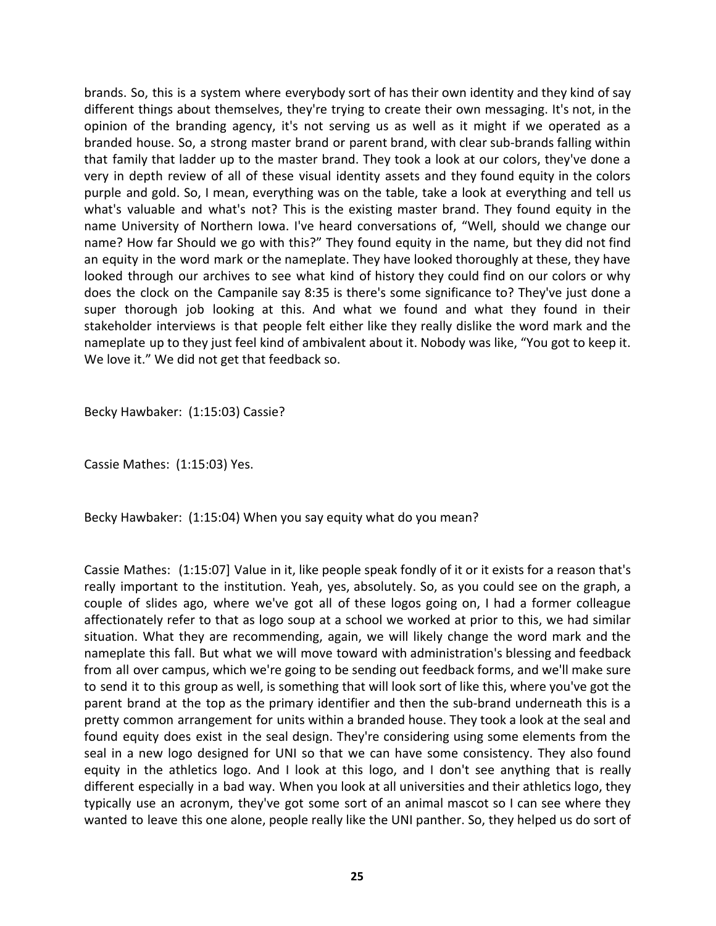brands. So, this is a system where everybody sort of has their own identity and they kind of say different things about themselves, they're trying to create their own messaging. It's not, in the opinion of the branding agency, it's not serving us as well as it might if we operated as a branded house. So, a strong master brand or parent brand, with clear sub-brands falling within that family that ladder up to the master brand. They took a look at our colors, they've done a very in depth review of all of these visual identity assets and they found equity in the colors purple and gold. So, I mean, everything was on the table, take a look at everything and tell us what's valuable and what's not? This is the existing master brand. They found equity in the name University of Northern Iowa. I've heard conversations of, "Well, should we change our name? How far Should we go with this?" They found equity in the name, but they did not find an equity in the word mark or the nameplate. They have looked thoroughly at these, they have looked through our archives to see what kind of history they could find on our colors or why does the clock on the Campanile say 8:35 is there's some significance to? They've just done a super thorough job looking at this. And what we found and what they found in their stakeholder interviews is that people felt either like they really dislike the word mark and the nameplate up to they just feel kind of ambivalent about it. Nobody was like, "You got to keep it. We love it." We did not get that feedback so.

Becky Hawbaker: (1:15:03) Cassie?

Cassie Mathes: (1:15:03) Yes.

Becky Hawbaker: (1:15:04) When you say equity what do you mean?

Cassie Mathes: (1:15:07] Value in it, like people speak fondly of it or it exists for a reason that's really important to the institution. Yeah, yes, absolutely. So, as you could see on the graph, a couple of slides ago, where we've got all of these logos going on, I had a former colleague affectionately refer to that as logo soup at a school we worked at prior to this, we had similar situation. What they are recommending, again, we will likely change the word mark and the nameplate this fall. But what we will move toward with administration's blessing and feedback from all over campus, which we're going to be sending out feedback forms, and we'll make sure to send it to this group as well, is something that will look sort of like this, where you've got the parent brand at the top as the primary identifier and then the sub-brand underneath this is a pretty common arrangement for units within a branded house. They took a look at the seal and found equity does exist in the seal design. They're considering using some elements from the seal in a new logo designed for UNI so that we can have some consistency. They also found equity in the athletics logo. And I look at this logo, and I don't see anything that is really different especially in a bad way. When you look at all universities and their athletics logo, they typically use an acronym, they've got some sort of an animal mascot so I can see where they wanted to leave this one alone, people really like the UNI panther. So, they helped us do sort of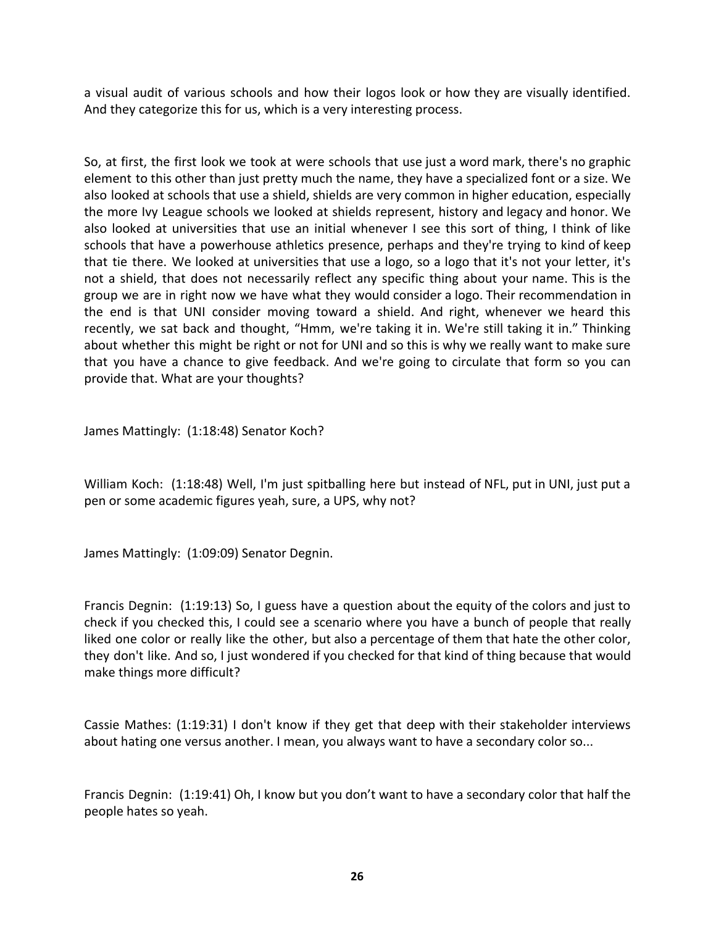a visual audit of various schools and how their logos look or how they are visually identified. And they categorize this for us, which is a very interesting process.

So, at first, the first look we took at were schools that use just a word mark, there's no graphic element to this other than just pretty much the name, they have a specialized font or a size. We also looked at schools that use a shield, shields are very common in higher education, especially the more Ivy League schools we looked at shields represent, history and legacy and honor. We also looked at universities that use an initial whenever I see this sort of thing, I think of like schools that have a powerhouse athletics presence, perhaps and they're trying to kind of keep that tie there. We looked at universities that use a logo, so a logo that it's not your letter, it's not a shield, that does not necessarily reflect any specific thing about your name. This is the group we are in right now we have what they would consider a logo. Their recommendation in the end is that UNI consider moving toward a shield. And right, whenever we heard this recently, we sat back and thought, "Hmm, we're taking it in. We're still taking it in." Thinking about whether this might be right or not for UNI and so this is why we really want to make sure that you have a chance to give feedback. And we're going to circulate that form so you can provide that. What are your thoughts?

James Mattingly: (1:18:48) Senator Koch?

William Koch: (1:18:48) Well, I'm just spitballing here but instead of NFL, put in UNI, just put a pen or some academic figures yeah, sure, a UPS, why not?

James Mattingly: (1:09:09) Senator Degnin.

Francis Degnin: (1:19:13) So, I guess have a question about the equity of the colors and just to check if you checked this, I could see a scenario where you have a bunch of people that really liked one color or really like the other, but also a percentage of them that hate the other color, they don't like. And so, I just wondered if you checked for that kind of thing because that would make things more difficult?

Cassie Mathes: (1:19:31) I don't know if they get that deep with their stakeholder interviews about hating one versus another. I mean, you always want to have a secondary color so...

Francis Degnin: (1:19:41) Oh, I know but you don't want to have a secondary color that half the people hates so yeah.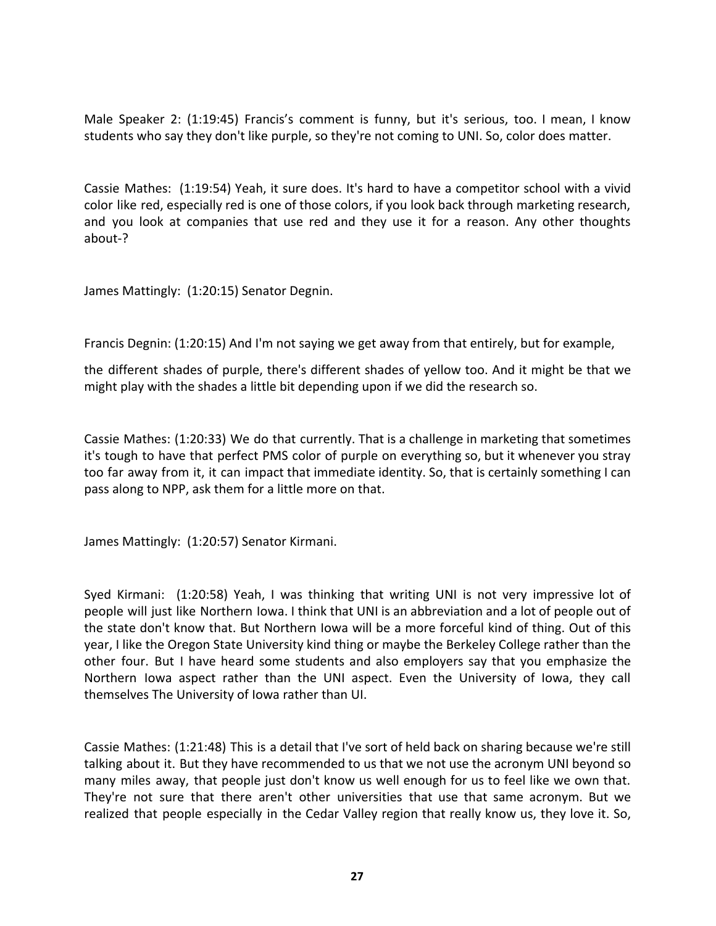Male Speaker 2: (1:19:45) Francis's comment is funny, but it's serious, too. I mean, I know students who say they don't like purple, so they're not coming to UNI. So, color does matter.

Cassie Mathes: (1:19:54) Yeah, it sure does. It's hard to have a competitor school with a vivid color like red, especially red is one of those colors, if you look back through marketing research, and you look at companies that use red and they use it for a reason. Any other thoughts about-?

James Mattingly: (1:20:15) Senator Degnin.

Francis Degnin: (1:20:15) And I'm not saying we get away from that entirely, but for example,

the different shades of purple, there's different shades of yellow too. And it might be that we might play with the shades a little bit depending upon if we did the research so.

Cassie Mathes: (1:20:33) We do that currently. That is a challenge in marketing that sometimes it's tough to have that perfect PMS color of purple on everything so, but it whenever you stray too far away from it, it can impact that immediate identity. So, that is certainly something I can pass along to NPP, ask them for a little more on that.

James Mattingly: (1:20:57) Senator Kirmani.

Syed Kirmani: (1:20:58) Yeah, I was thinking that writing UNI is not very impressive lot of people will just like Northern Iowa. I think that UNI is an abbreviation and a lot of people out of the state don't know that. But Northern Iowa will be a more forceful kind of thing. Out of this year, I like the Oregon State University kind thing or maybe the Berkeley College rather than the other four. But I have heard some students and also employers say that you emphasize the Northern Iowa aspect rather than the UNI aspect. Even the University of Iowa, they call themselves The University of Iowa rather than UI.

Cassie Mathes: (1:21:48) This is a detail that I've sort of held back on sharing because we're still talking about it. But they have recommended to us that we not use the acronym UNI beyond so many miles away, that people just don't know us well enough for us to feel like we own that. They're not sure that there aren't other universities that use that same acronym. But we realized that people especially in the Cedar Valley region that really know us, they love it. So,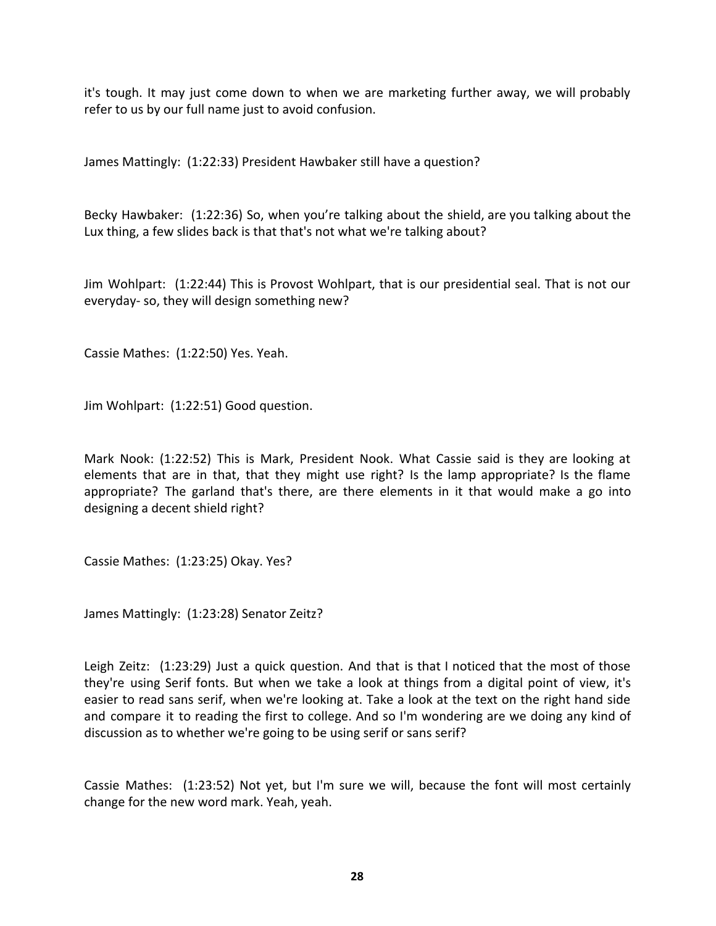it's tough. It may just come down to when we are marketing further away, we will probably refer to us by our full name just to avoid confusion.

James Mattingly: (1:22:33) President Hawbaker still have a question?

Becky Hawbaker: (1:22:36) So, when you're talking about the shield, are you talking about the Lux thing, a few slides back is that that's not what we're talking about?

Jim Wohlpart: (1:22:44) This is Provost Wohlpart, that is our presidential seal. That is not our everyday- so, they will design something new?

Cassie Mathes: (1:22:50) Yes. Yeah.

Jim Wohlpart: (1:22:51) Good question.

Mark Nook: (1:22:52) This is Mark, President Nook. What Cassie said is they are looking at elements that are in that, that they might use right? Is the lamp appropriate? Is the flame appropriate? The garland that's there, are there elements in it that would make a go into designing a decent shield right?

Cassie Mathes: (1:23:25) Okay. Yes?

James Mattingly: (1:23:28) Senator Zeitz?

Leigh Zeitz: (1:23:29) Just a quick question. And that is that I noticed that the most of those they're using Serif fonts. But when we take a look at things from a digital point of view, it's easier to read sans serif, when we're looking at. Take a look at the text on the right hand side and compare it to reading the first to college. And so I'm wondering are we doing any kind of discussion as to whether we're going to be using serif or sans serif?

Cassie Mathes: (1:23:52) Not yet, but I'm sure we will, because the font will most certainly change for the new word mark. Yeah, yeah.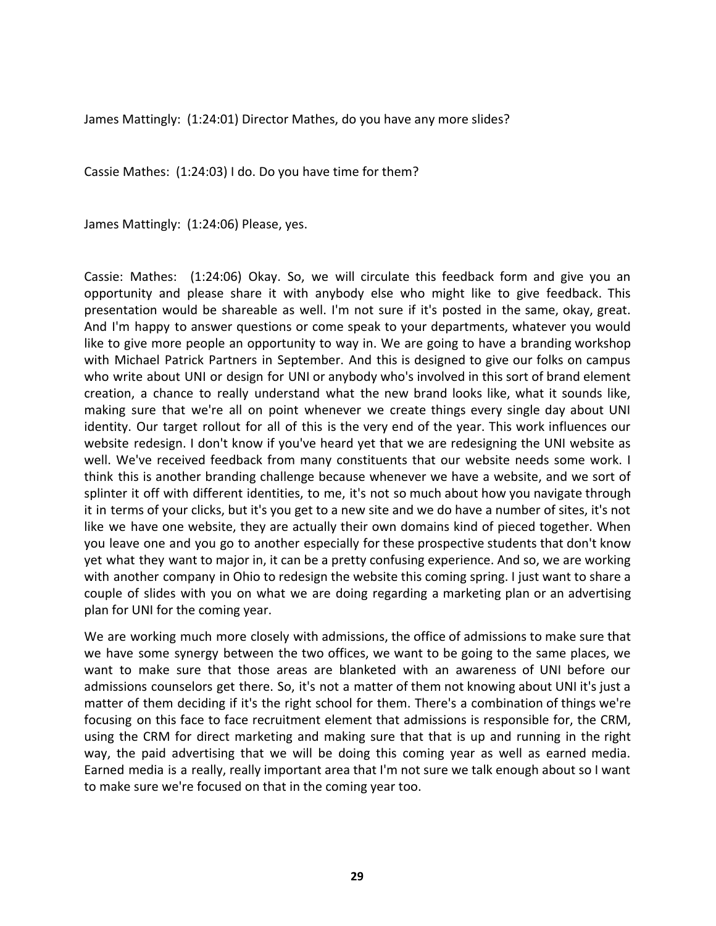James Mattingly: (1:24:01) Director Mathes, do you have any more slides?

Cassie Mathes: (1:24:03) I do. Do you have time for them?

James Mattingly: (1:24:06) Please, yes.

Cassie: Mathes: (1:24:06) Okay. So, we will circulate this feedback form and give you an opportunity and please share it with anybody else who might like to give feedback. This presentation would be shareable as well. I'm not sure if it's posted in the same, okay, great. And I'm happy to answer questions or come speak to your departments, whatever you would like to give more people an opportunity to way in. We are going to have a branding workshop with Michael Patrick Partners in September. And this is designed to give our folks on campus who write about UNI or design for UNI or anybody who's involved in this sort of brand element creation, a chance to really understand what the new brand looks like, what it sounds like, making sure that we're all on point whenever we create things every single day about UNI identity. Our target rollout for all of this is the very end of the year. This work influences our website redesign. I don't know if you've heard yet that we are redesigning the UNI website as well. We've received feedback from many constituents that our website needs some work. I think this is another branding challenge because whenever we have a website, and we sort of splinter it off with different identities, to me, it's not so much about how you navigate through it in terms of your clicks, but it's you get to a new site and we do have a number of sites, it's not like we have one website, they are actually their own domains kind of pieced together. When you leave one and you go to another especially for these prospective students that don't know yet what they want to major in, it can be a pretty confusing experience. And so, we are working with another company in Ohio to redesign the website this coming spring. I just want to share a couple of slides with you on what we are doing regarding a marketing plan or an advertising plan for UNI for the coming year.

We are working much more closely with admissions, the office of admissions to make sure that we have some synergy between the two offices, we want to be going to the same places, we want to make sure that those areas are blanketed with an awareness of UNI before our admissions counselors get there. So, it's not a matter of them not knowing about UNI it's just a matter of them deciding if it's the right school for them. There's a combination of things we're focusing on this face to face recruitment element that admissions is responsible for, the CRM, using the CRM for direct marketing and making sure that that is up and running in the right way, the paid advertising that we will be doing this coming year as well as earned media. Earned media is a really, really important area that I'm not sure we talk enough about so I want to make sure we're focused on that in the coming year too.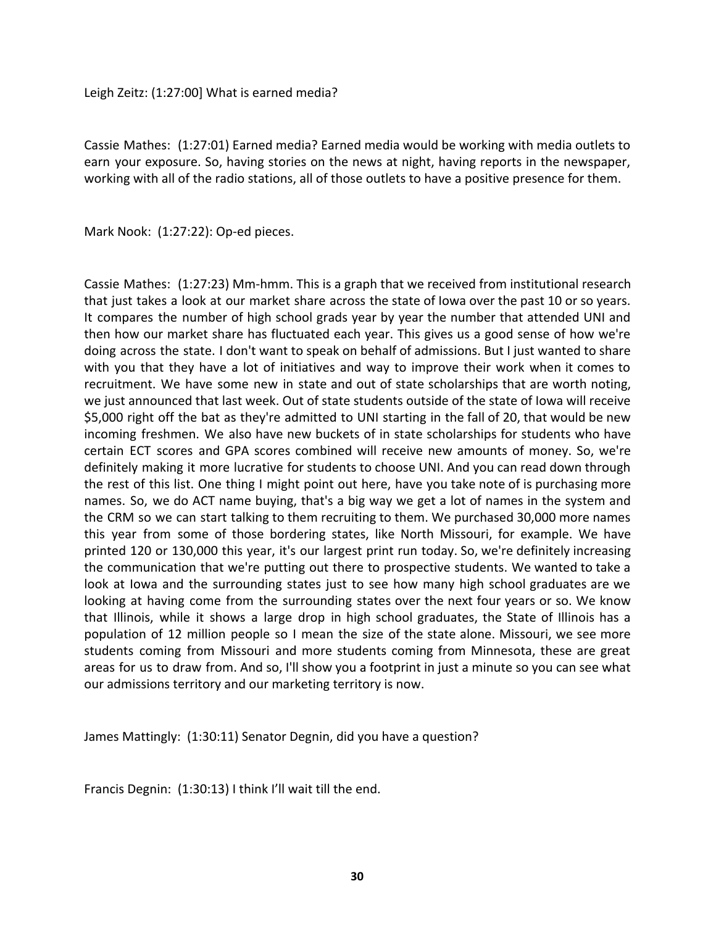Leigh Zeitz: (1:27:00] What is earned media?

Cassie Mathes: (1:27:01) Earned media? Earned media would be working with media outlets to earn your exposure. So, having stories on the news at night, having reports in the newspaper, working with all of the radio stations, all of those outlets to have a positive presence for them.

Mark Nook: (1:27:22): Op-ed pieces.

Cassie Mathes: (1:27:23) Mm-hmm. This is a graph that we received from institutional research that just takes a look at our market share across the state of Iowa over the past 10 or so years. It compares the number of high school grads year by year the number that attended UNI and then how our market share has fluctuated each year. This gives us a good sense of how we're doing across the state. I don't want to speak on behalf of admissions. But I just wanted to share with you that they have a lot of initiatives and way to improve their work when it comes to recruitment. We have some new in state and out of state scholarships that are worth noting, we just announced that last week. Out of state students outside of the state of Iowa will receive \$5,000 right off the bat as they're admitted to UNI starting in the fall of 20, that would be new incoming freshmen. We also have new buckets of in state scholarships for students who have certain ECT scores and GPA scores combined will receive new amounts of money. So, we're definitely making it more lucrative for students to choose UNI. And you can read down through the rest of this list. One thing I might point out here, have you take note of is purchasing more names. So, we do ACT name buying, that's a big way we get a lot of names in the system and the CRM so we can start talking to them recruiting to them. We purchased 30,000 more names this year from some of those bordering states, like North Missouri, for example. We have printed 120 or 130,000 this year, it's our largest print run today. So, we're definitely increasing the communication that we're putting out there to prospective students. We wanted to take a look at Iowa and the surrounding states just to see how many high school graduates are we looking at having come from the surrounding states over the next four years or so. We know that Illinois, while it shows a large drop in high school graduates, the State of Illinois has a population of 12 million people so I mean the size of the state alone. Missouri, we see more students coming from Missouri and more students coming from Minnesota, these are great areas for us to draw from. And so, I'll show you a footprint in just a minute so you can see what our admissions territory and our marketing territory is now.

James Mattingly: (1:30:11) Senator Degnin, did you have a question?

Francis Degnin: (1:30:13) I think I'll wait till the end.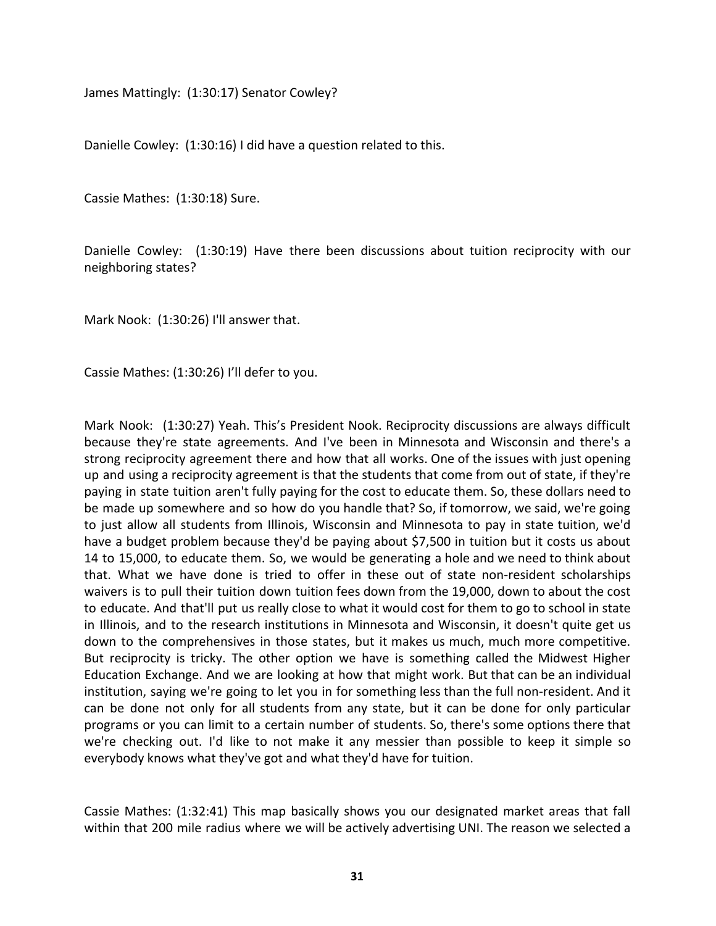James Mattingly: (1:30:17) Senator Cowley?

Danielle Cowley: (1:30:16) I did have a question related to this.

Cassie Mathes: (1:30:18) Sure.

Danielle Cowley: (1:30:19) Have there been discussions about tuition reciprocity with our neighboring states?

Mark Nook: (1:30:26) I'll answer that.

Cassie Mathes: (1:30:26) I'll defer to you.

Mark Nook: (1:30:27) Yeah. This's President Nook. Reciprocity discussions are always difficult because they're state agreements. And I've been in Minnesota and Wisconsin and there's a strong reciprocity agreement there and how that all works. One of the issues with just opening up and using a reciprocity agreement is that the students that come from out of state, if they're paying in state tuition aren't fully paying for the cost to educate them. So, these dollars need to be made up somewhere and so how do you handle that? So, if tomorrow, we said, we're going to just allow all students from Illinois, Wisconsin and Minnesota to pay in state tuition, we'd have a budget problem because they'd be paying about \$7,500 in tuition but it costs us about 14 to 15,000, to educate them. So, we would be generating a hole and we need to think about that. What we have done is tried to offer in these out of state non-resident scholarships waivers is to pull their tuition down tuition fees down from the 19,000, down to about the cost to educate. And that'll put us really close to what it would cost for them to go to school in state in Illinois, and to the research institutions in Minnesota and Wisconsin, it doesn't quite get us down to the comprehensives in those states, but it makes us much, much more competitive. But reciprocity is tricky. The other option we have is something called the Midwest Higher Education Exchange. And we are looking at how that might work. But that can be an individual institution, saying we're going to let you in for something less than the full non-resident. And it can be done not only for all students from any state, but it can be done for only particular programs or you can limit to a certain number of students. So, there's some options there that we're checking out. I'd like to not make it any messier than possible to keep it simple so everybody knows what they've got and what they'd have for tuition.

Cassie Mathes: (1:32:41) This map basically shows you our designated market areas that fall within that 200 mile radius where we will be actively advertising UNI. The reason we selected a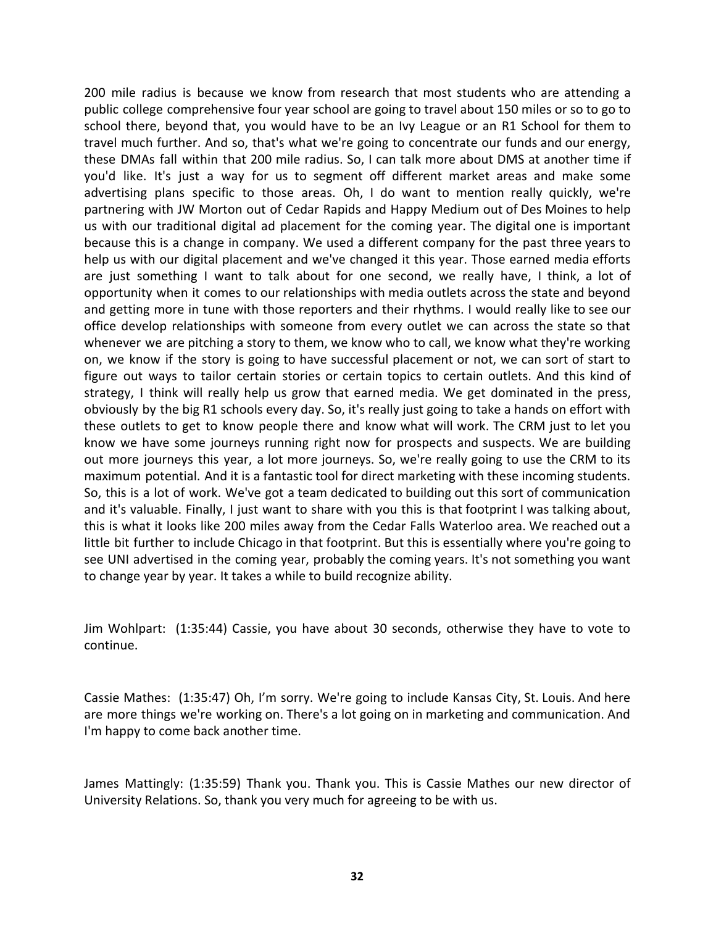200 mile radius is because we know from research that most students who are attending a public college comprehensive four year school are going to travel about 150 miles or so to go to school there, beyond that, you would have to be an Ivy League or an R1 School for them to travel much further. And so, that's what we're going to concentrate our funds and our energy, these DMAs fall within that 200 mile radius. So, I can talk more about DMS at another time if you'd like. It's just a way for us to segment off different market areas and make some advertising plans specific to those areas. Oh, I do want to mention really quickly, we're partnering with JW Morton out of Cedar Rapids and Happy Medium out of Des Moines to help us with our traditional digital ad placement for the coming year. The digital one is important because this is a change in company. We used a different company for the past three years to help us with our digital placement and we've changed it this year. Those earned media efforts are just something I want to talk about for one second, we really have, I think, a lot of opportunity when it comes to our relationships with media outlets across the state and beyond and getting more in tune with those reporters and their rhythms. I would really like to see our office develop relationships with someone from every outlet we can across the state so that whenever we are pitching a story to them, we know who to call, we know what they're working on, we know if the story is going to have successful placement or not, we can sort of start to figure out ways to tailor certain stories or certain topics to certain outlets. And this kind of strategy, I think will really help us grow that earned media. We get dominated in the press, obviously by the big R1 schools every day. So, it's really just going to take a hands on effort with these outlets to get to know people there and know what will work. The CRM just to let you know we have some journeys running right now for prospects and suspects. We are building out more journeys this year, a lot more journeys. So, we're really going to use the CRM to its maximum potential. And it is a fantastic tool for direct marketing with these incoming students. So, this is a lot of work. We've got a team dedicated to building out this sort of communication and it's valuable. Finally, I just want to share with you this is that footprint I was talking about, this is what it looks like 200 miles away from the Cedar Falls Waterloo area. We reached out a little bit further to include Chicago in that footprint. But this is essentially where you're going to see UNI advertised in the coming year, probably the coming years. It's not something you want to change year by year. It takes a while to build recognize ability.

Jim Wohlpart: (1:35:44) Cassie, you have about 30 seconds, otherwise they have to vote to continue.

Cassie Mathes: (1:35:47) Oh, I'm sorry. We're going to include Kansas City, St. Louis. And here are more things we're working on. There's a lot going on in marketing and communication. And I'm happy to come back another time.

James Mattingly: (1:35:59) Thank you. Thank you. This is Cassie Mathes our new director of University Relations. So, thank you very much for agreeing to be with us.